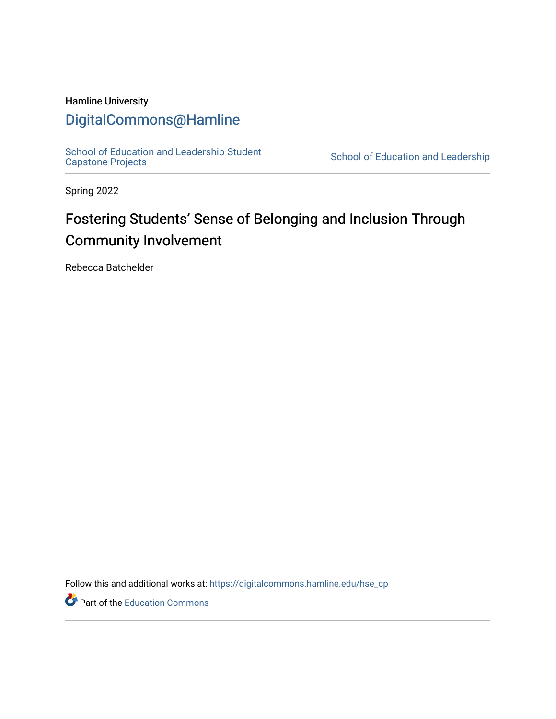## Hamline University

## [DigitalCommons@Hamline](https://digitalcommons.hamline.edu/)

[School of Education and Leadership Student](https://digitalcommons.hamline.edu/hse_cp)<br>Capstone Projects

School of Education and Leadership

Spring 2022

# Fostering Students' Sense of Belonging and Inclusion Through Community Involvement

Rebecca Batchelder

Follow this and additional works at: [https://digitalcommons.hamline.edu/hse\\_cp](https://digitalcommons.hamline.edu/hse_cp?utm_source=digitalcommons.hamline.edu%2Fhse_cp%2F802&utm_medium=PDF&utm_campaign=PDFCoverPages) 

Part of the [Education Commons](https://network.bepress.com/hgg/discipline/784?utm_source=digitalcommons.hamline.edu%2Fhse_cp%2F802&utm_medium=PDF&utm_campaign=PDFCoverPages)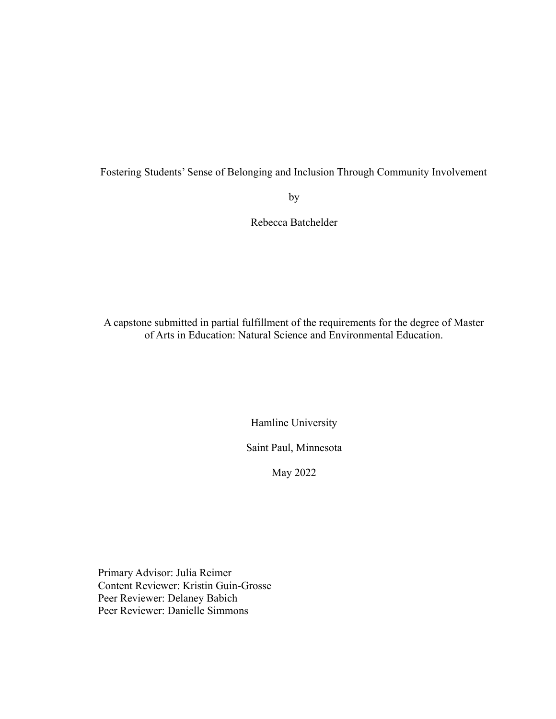Fostering Students' Sense of Belonging and Inclusion Through Community Involvement

by

Rebecca Batchelder

A capstone submitted in partial fulfillment of the requirements for the degree of Master of Arts in Education: Natural Science and Environmental Education.

Hamline University

Saint Paul, Minnesota

May 2022

Primary Advisor: Julia Reimer Content Reviewer: Kristin Guin-Grosse Peer Reviewer: Delaney Babich Peer Reviewer: Danielle Simmons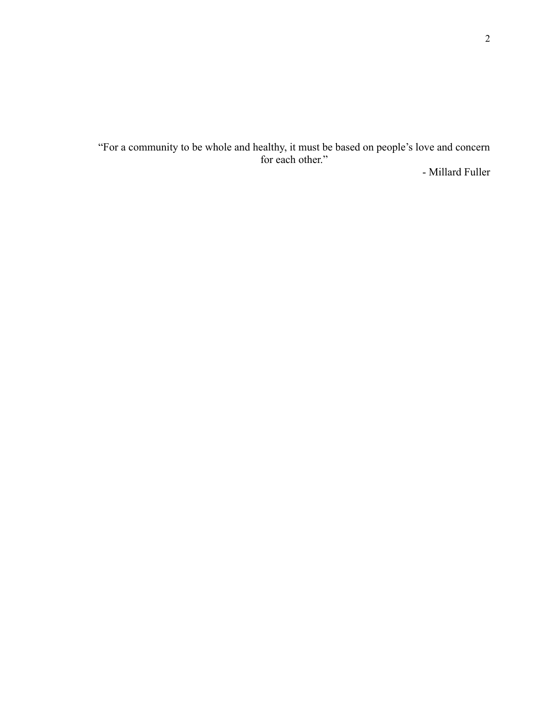"For a community to be whole and healthy, it must be based on people's love and concern for each other."

- Millard Fuller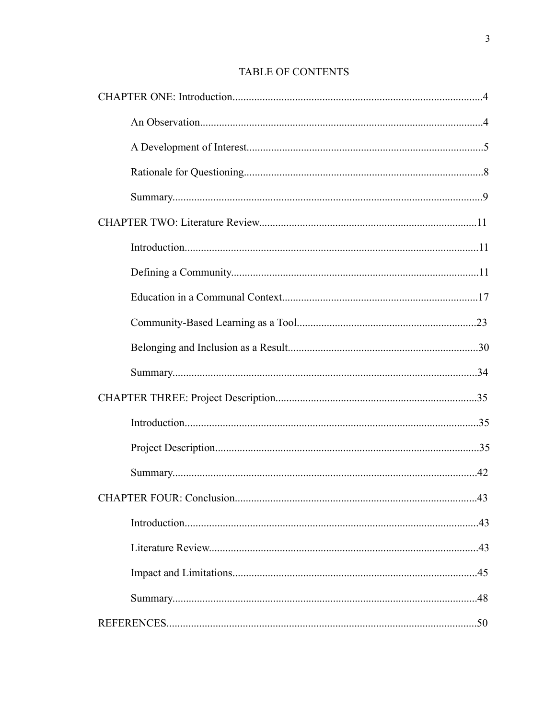## TABLE OF CONTENTS

| .43 |
|-----|
|     |
|     |
|     |
|     |
|     |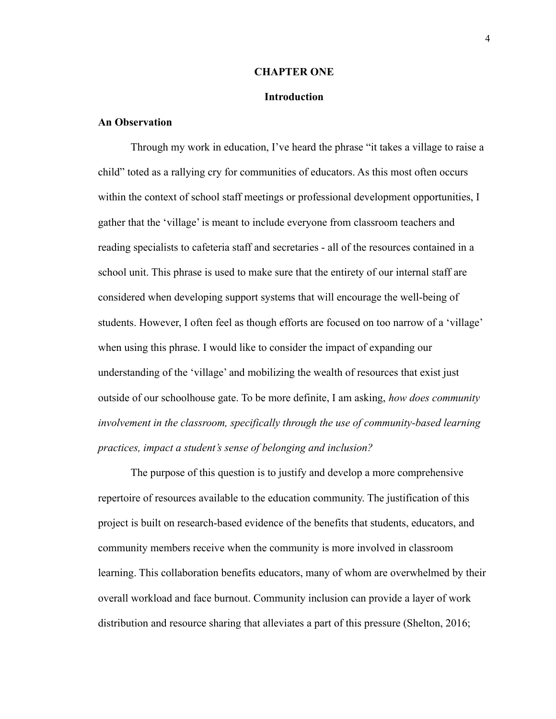#### **CHAPTER ONE**

#### **Introduction**

#### **An Observation**

Through my work in education, I've heard the phrase "it takes a village to raise a child" toted as a rallying cry for communities of educators. As this most often occurs within the context of school staff meetings or professional development opportunities, I gather that the 'village' is meant to include everyone from classroom teachers and reading specialists to cafeteria staff and secretaries - all of the resources contained in a school unit. This phrase is used to make sure that the entirety of our internal staff are considered when developing support systems that will encourage the well-being of students. However, I often feel as though efforts are focused on too narrow of a 'village' when using this phrase. I would like to consider the impact of expanding our understanding of the 'village' and mobilizing the wealth of resources that exist just outside of our schoolhouse gate. To be more definite, I am asking, *how does community involvement in the classroom, specifically through the use of community-based learning practices, impact a student's sense of belonging and inclusion?*

The purpose of this question is to justify and develop a more comprehensive repertoire of resources available to the education community. The justification of this project is built on research-based evidence of the benefits that students, educators, and community members receive when the community is more involved in classroom learning. This collaboration benefits educators, many of whom are overwhelmed by their overall workload and face burnout. Community inclusion can provide a layer of work distribution and resource sharing that alleviates a part of this pressure (Shelton, 2016;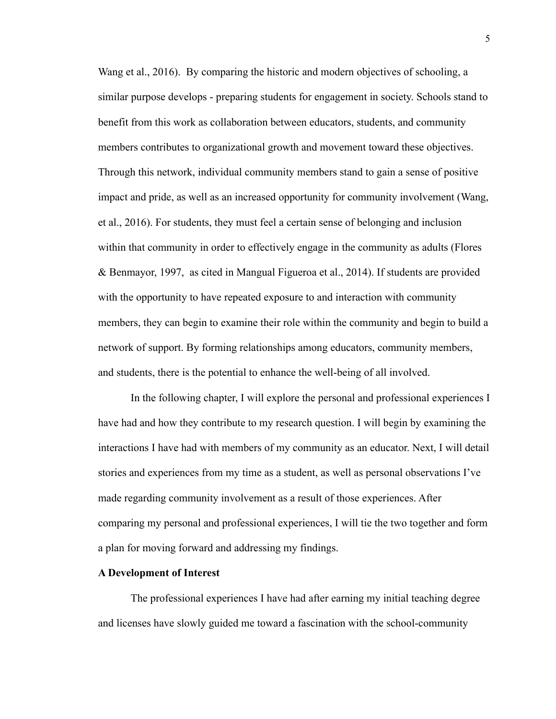Wang et al., 2016). By comparing the historic and modern objectives of schooling, a similar purpose develops - preparing students for engagement in society. Schools stand to benefit from this work as collaboration between educators, students, and community members contributes to organizational growth and movement toward these objectives. Through this network, individual community members stand to gain a sense of positive impact and pride, as well as an increased opportunity for community involvement (Wang, et al., 2016). For students, they must feel a certain sense of belonging and inclusion within that community in order to effectively engage in the community as adults (Flores & Benmayor, 1997, as cited in Mangual Figueroa et al., 2014). If students are provided with the opportunity to have repeated exposure to and interaction with community members, they can begin to examine their role within the community and begin to build a network of support. By forming relationships among educators, community members, and students, there is the potential to enhance the well-being of all involved.

In the following chapter, I will explore the personal and professional experiences I have had and how they contribute to my research question. I will begin by examining the interactions I have had with members of my community as an educator. Next, I will detail stories and experiences from my time as a student, as well as personal observations I've made regarding community involvement as a result of those experiences. After comparing my personal and professional experiences, I will tie the two together and form a plan for moving forward and addressing my findings.

### **A Development of Interest**

The professional experiences I have had after earning my initial teaching degree and licenses have slowly guided me toward a fascination with the school-community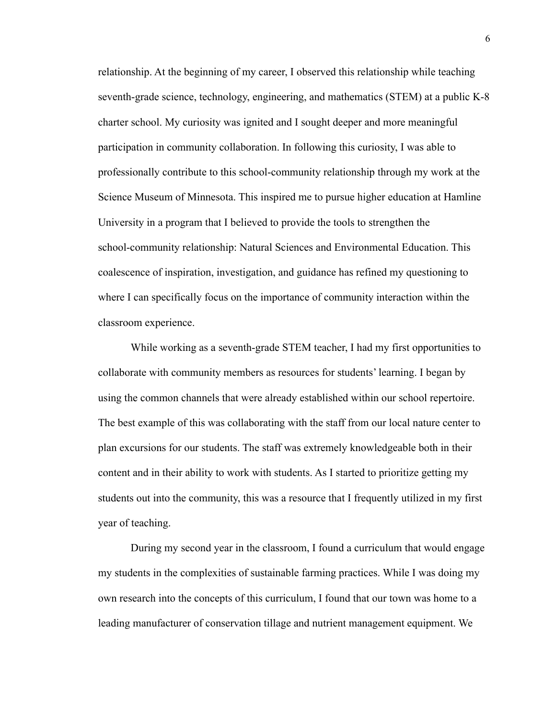relationship. At the beginning of my career, I observed this relationship while teaching seventh-grade science, technology, engineering, and mathematics (STEM) at a public K-8 charter school. My curiosity was ignited and I sought deeper and more meaningful participation in community collaboration. In following this curiosity, I was able to professionally contribute to this school-community relationship through my work at the Science Museum of Minnesota. This inspired me to pursue higher education at Hamline University in a program that I believed to provide the tools to strengthen the school-community relationship: Natural Sciences and Environmental Education. This coalescence of inspiration, investigation, and guidance has refined my questioning to where I can specifically focus on the importance of community interaction within the classroom experience.

While working as a seventh-grade STEM teacher, I had my first opportunities to collaborate with community members as resources for students' learning. I began by using the common channels that were already established within our school repertoire. The best example of this was collaborating with the staff from our local nature center to plan excursions for our students. The staff was extremely knowledgeable both in their content and in their ability to work with students. As I started to prioritize getting my students out into the community, this was a resource that I frequently utilized in my first year of teaching.

During my second year in the classroom, I found a curriculum that would engage my students in the complexities of sustainable farming practices. While I was doing my own research into the concepts of this curriculum, I found that our town was home to a leading manufacturer of conservation tillage and nutrient management equipment. We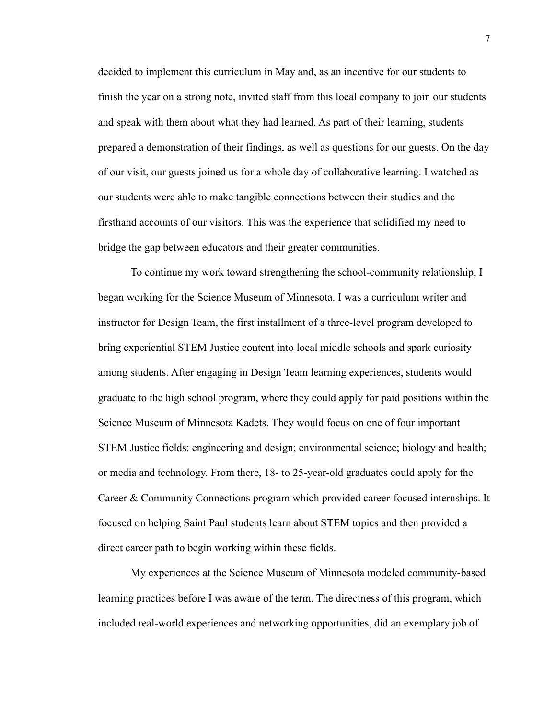decided to implement this curriculum in May and, as an incentive for our students to finish the year on a strong note, invited staff from this local company to join our students and speak with them about what they had learned. As part of their learning, students prepared a demonstration of their findings, as well as questions for our guests. On the day of our visit, our guests joined us for a whole day of collaborative learning. I watched as our students were able to make tangible connections between their studies and the firsthand accounts of our visitors. This was the experience that solidified my need to bridge the gap between educators and their greater communities.

To continue my work toward strengthening the school-community relationship, I began working for the Science Museum of Minnesota. I was a curriculum writer and instructor for Design Team, the first installment of a three-level program developed to bring experiential STEM Justice content into local middle schools and spark curiosity among students. After engaging in Design Team learning experiences, students would graduate to the high school program, where they could apply for paid positions within the Science Museum of Minnesota Kadets. They would focus on one of four important STEM Justice fields: engineering and design; environmental science; biology and health; or media and technology. From there, 18- to 25-year-old graduates could apply for the Career & Community Connections program which provided career-focused internships. It focused on helping Saint Paul students learn about STEM topics and then provided a direct career path to begin working within these fields.

My experiences at the Science Museum of Minnesota modeled community-based learning practices before I was aware of the term. The directness of this program, which included real-world experiences and networking opportunities, did an exemplary job of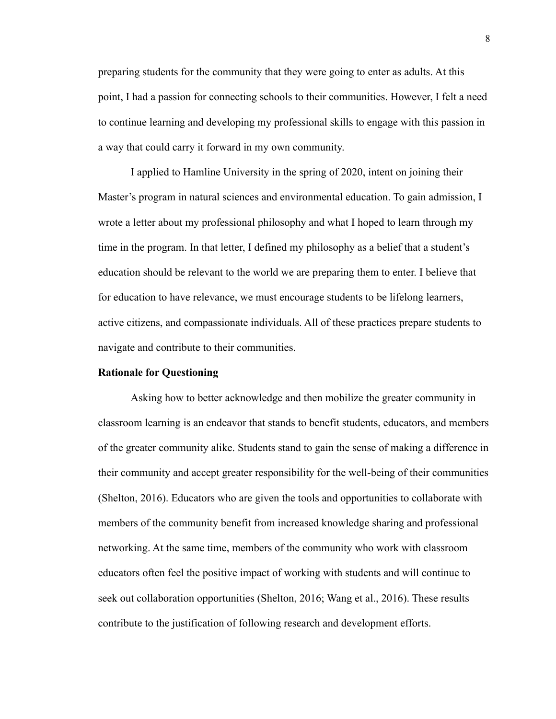preparing students for the community that they were going to enter as adults. At this point, I had a passion for connecting schools to their communities. However, I felt a need to continue learning and developing my professional skills to engage with this passion in a way that could carry it forward in my own community.

I applied to Hamline University in the spring of 2020, intent on joining their Master's program in natural sciences and environmental education. To gain admission, I wrote a letter about my professional philosophy and what I hoped to learn through my time in the program. In that letter, I defined my philosophy as a belief that a student's education should be relevant to the world we are preparing them to enter. I believe that for education to have relevance, we must encourage students to be lifelong learners, active citizens, and compassionate individuals. All of these practices prepare students to navigate and contribute to their communities.

#### **Rationale for Questioning**

Asking how to better acknowledge and then mobilize the greater community in classroom learning is an endeavor that stands to benefit students, educators, and members of the greater community alike. Students stand to gain the sense of making a difference in their community and accept greater responsibility for the well-being of their communities (Shelton, 2016). Educators who are given the tools and opportunities to collaborate with members of the community benefit from increased knowledge sharing and professional networking. At the same time, members of the community who work with classroom educators often feel the positive impact of working with students and will continue to seek out collaboration opportunities (Shelton, 2016; Wang et al., 2016). These results contribute to the justification of following research and development efforts.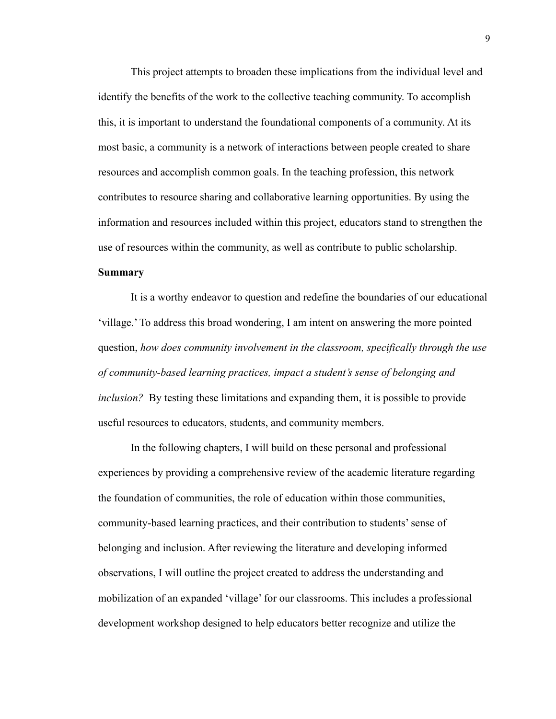This project attempts to broaden these implications from the individual level and identify the benefits of the work to the collective teaching community. To accomplish this, it is important to understand the foundational components of a community. At its most basic, a community is a network of interactions between people created to share resources and accomplish common goals. In the teaching profession, this network contributes to resource sharing and collaborative learning opportunities. By using the information and resources included within this project, educators stand to strengthen the use of resources within the community, as well as contribute to public scholarship. **Summary**

It is a worthy endeavor to question and redefine the boundaries of our educational 'village.' To address this broad wondering, I am intent on answering the more pointed question, *how does community involvement in the classroom, specifically through the use of community-based learning practices, impact a student's sense of belonging and inclusion?* By testing these limitations and expanding them, it is possible to provide useful resources to educators, students, and community members.

In the following chapters, I will build on these personal and professional experiences by providing a comprehensive review of the academic literature regarding the foundation of communities, the role of education within those communities, community-based learning practices, and their contribution to students' sense of belonging and inclusion. After reviewing the literature and developing informed observations, I will outline the project created to address the understanding and mobilization of an expanded 'village' for our classrooms. This includes a professional development workshop designed to help educators better recognize and utilize the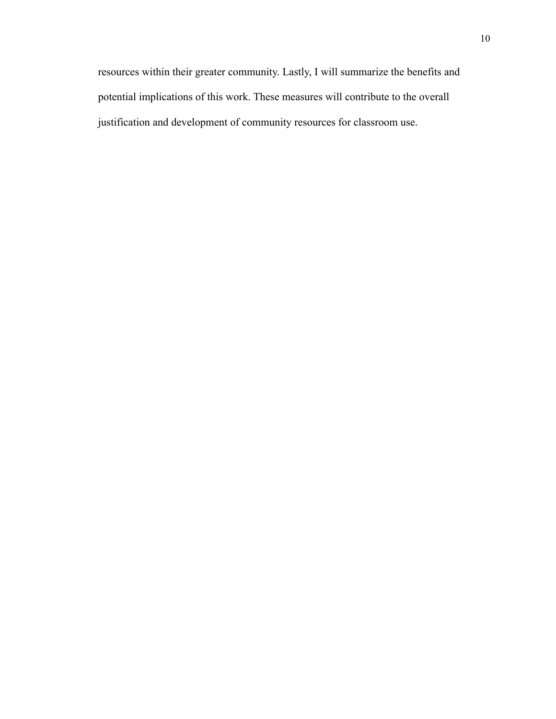resources within their greater community. Lastly, I will summarize the benefits and potential implications of this work. These measures will contribute to the overall justification and development of community resources for classroom use.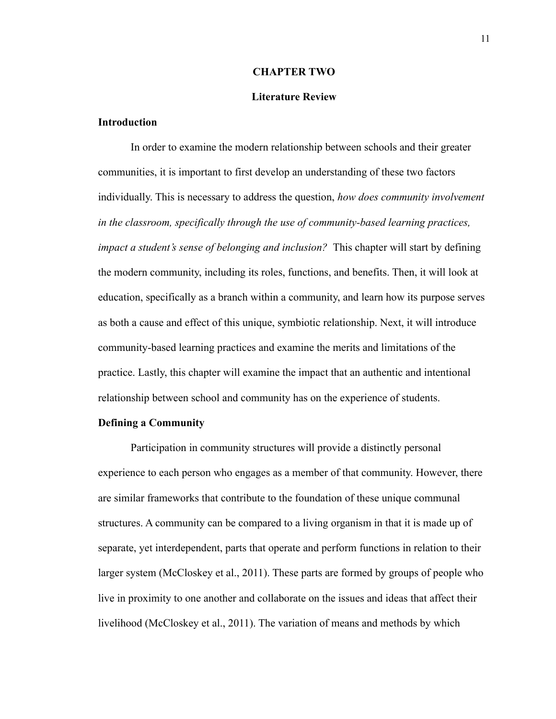#### **CHAPTER TWO**

#### **Literature Review**

#### **Introduction**

In order to examine the modern relationship between schools and their greater communities, it is important to first develop an understanding of these two factors individually. This is necessary to address the question, *how does community involvement in the classroom, specifically through the use of community-based learning practices, impact a student's sense of belonging and inclusion?* This chapter will start by defining the modern community, including its roles, functions, and benefits. Then, it will look at education, specifically as a branch within a community, and learn how its purpose serves as both a cause and effect of this unique, symbiotic relationship. Next, it will introduce community-based learning practices and examine the merits and limitations of the practice. Lastly, this chapter will examine the impact that an authentic and intentional relationship between school and community has on the experience of students.

#### **Defining a Community**

Participation in community structures will provide a distinctly personal experience to each person who engages as a member of that community. However, there are similar frameworks that contribute to the foundation of these unique communal structures. A community can be compared to a living organism in that it is made up of separate, yet interdependent, parts that operate and perform functions in relation to their larger system (McCloskey et al., 2011). These parts are formed by groups of people who live in proximity to one another and collaborate on the issues and ideas that affect their livelihood (McCloskey et al., 2011). The variation of means and methods by which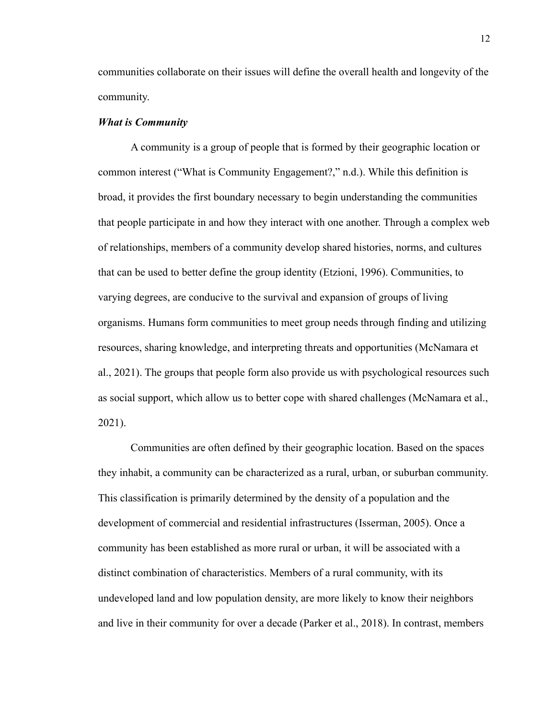communities collaborate on their issues will define the overall health and longevity of the community.

#### *What is Community*

A community is a group of people that is formed by their geographic location or common interest ("What is Community Engagement?," n.d.). While this definition is broad, it provides the first boundary necessary to begin understanding the communities that people participate in and how they interact with one another. Through a complex web of relationships, members of a community develop shared histories, norms, and cultures that can be used to better define the group identity (Etzioni, 1996). Communities, to varying degrees, are conducive to the survival and expansion of groups of living organisms. Humans form communities to meet group needs through finding and utilizing resources, sharing knowledge, and interpreting threats and opportunities (McNamara et al., 2021). The groups that people form also provide us with psychological resources such as social support, which allow us to better cope with shared challenges (McNamara et al., 2021).

Communities are often defined by their geographic location. Based on the spaces they inhabit, a community can be characterized as a rural, urban, or suburban community. This classification is primarily determined by the density of a population and the development of commercial and residential infrastructures (Isserman, 2005). Once a community has been established as more rural or urban, it will be associated with a distinct combination of characteristics. Members of a rural community, with its undeveloped land and low population density, are more likely to know their neighbors and live in their community for over a decade (Parker et al., 2018). In contrast, members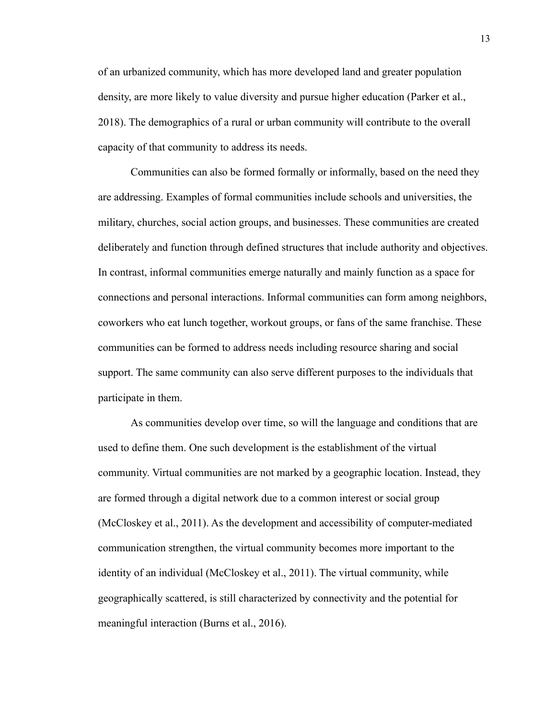of an urbanized community, which has more developed land and greater population density, are more likely to value diversity and pursue higher education (Parker et al., 2018). The demographics of a rural or urban community will contribute to the overall capacity of that community to address its needs.

Communities can also be formed formally or informally, based on the need they are addressing. Examples of formal communities include schools and universities, the military, churches, social action groups, and businesses. These communities are created deliberately and function through defined structures that include authority and objectives. In contrast, informal communities emerge naturally and mainly function as a space for connections and personal interactions. Informal communities can form among neighbors, coworkers who eat lunch together, workout groups, or fans of the same franchise. These communities can be formed to address needs including resource sharing and social support. The same community can also serve different purposes to the individuals that participate in them.

As communities develop over time, so will the language and conditions that are used to define them. One such development is the establishment of the virtual community. Virtual communities are not marked by a geographic location. Instead, they are formed through a digital network due to a common interest or social group (McCloskey et al., 2011). As the development and accessibility of computer-mediated communication strengthen, the virtual community becomes more important to the identity of an individual (McCloskey et al., 2011). The virtual community, while geographically scattered, is still characterized by connectivity and the potential for meaningful interaction (Burns et al., 2016).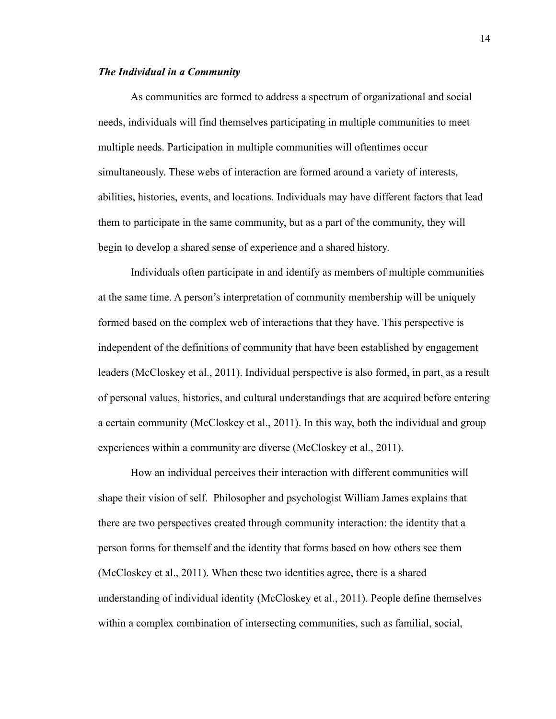#### *The Individual in a Community*

As communities are formed to address a spectrum of organizational and social needs, individuals will find themselves participating in multiple communities to meet multiple needs. Participation in multiple communities will oftentimes occur simultaneously. These webs of interaction are formed around a variety of interests, abilities, histories, events, and locations. Individuals may have different factors that lead them to participate in the same community, but as a part of the community, they will begin to develop a shared sense of experience and a shared history.

Individuals often participate in and identify as members of multiple communities at the same time. A person's interpretation of community membership will be uniquely formed based on the complex web of interactions that they have. This perspective is independent of the definitions of community that have been established by engagement leaders (McCloskey et al., 2011). Individual perspective is also formed, in part, as a result of personal values, histories, and cultural understandings that are acquired before entering a certain community (McCloskey et al., 2011). In this way, both the individual and group experiences within a community are diverse (McCloskey et al., 2011).

How an individual perceives their interaction with different communities will shape their vision of self. Philosopher and psychologist William James explains that there are two perspectives created through community interaction: the identity that a person forms for themself and the identity that forms based on how others see them (McCloskey et al., 2011). When these two identities agree, there is a shared understanding of individual identity (McCloskey et al., 2011). People define themselves within a complex combination of intersecting communities, such as familial, social,

14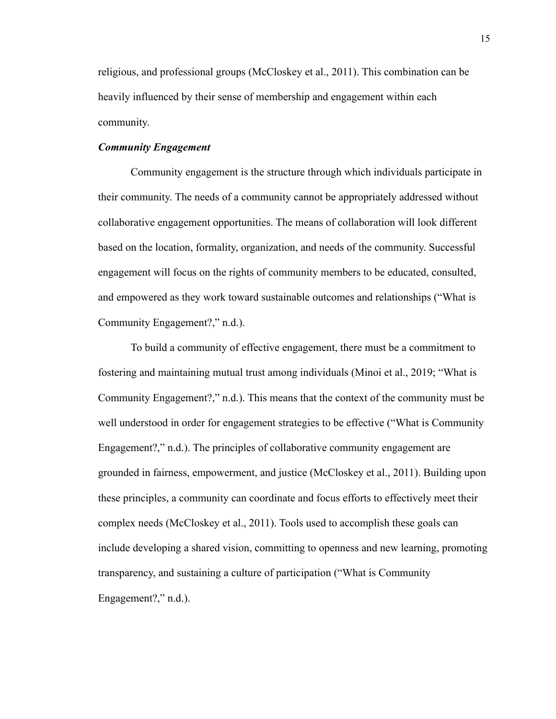religious, and professional groups (McCloskey et al., 2011). This combination can be heavily influenced by their sense of membership and engagement within each community.

#### *Community Engagement*

Community engagement is the structure through which individuals participate in their community. The needs of a community cannot be appropriately addressed without collaborative engagement opportunities. The means of collaboration will look different based on the location, formality, organization, and needs of the community. Successful engagement will focus on the rights of community members to be educated, consulted, and empowered as they work toward sustainable outcomes and relationships ("What is Community Engagement?," n.d.).

To build a community of effective engagement, there must be a commitment to fostering and maintaining mutual trust among individuals (Minoi et al., 2019; "What is Community Engagement?," n.d.). This means that the context of the community must be well understood in order for engagement strategies to be effective ("What is Community Engagement?," n.d.). The principles of collaborative community engagement are grounded in fairness, empowerment, and justice (McCloskey et al., 2011). Building upon these principles, a community can coordinate and focus efforts to effectively meet their complex needs (McCloskey et al., 2011). Tools used to accomplish these goals can include developing a shared vision, committing to openness and new learning, promoting transparency, and sustaining a culture of participation ("What is Community Engagement?," n.d.).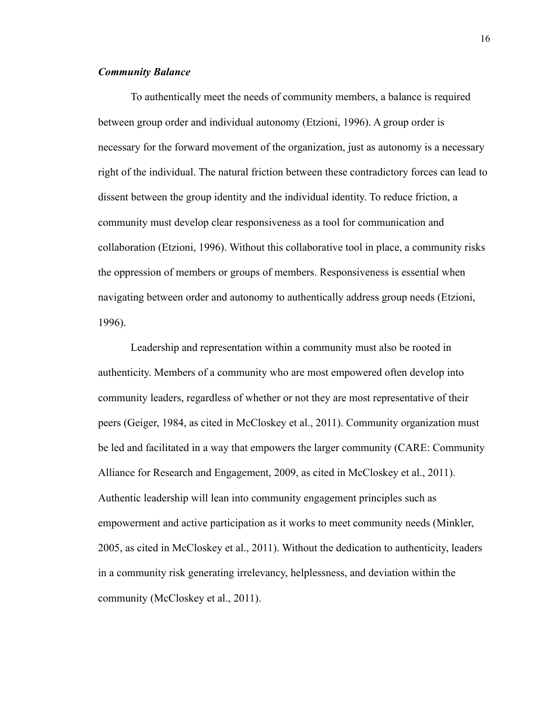#### *Community Balance*

To authentically meet the needs of community members, a balance is required between group order and individual autonomy (Etzioni, 1996). A group order is necessary for the forward movement of the organization, just as autonomy is a necessary right of the individual. The natural friction between these contradictory forces can lead to dissent between the group identity and the individual identity. To reduce friction, a community must develop clear responsiveness as a tool for communication and collaboration (Etzioni, 1996). Without this collaborative tool in place, a community risks the oppression of members or groups of members. Responsiveness is essential when navigating between order and autonomy to authentically address group needs (Etzioni, 1996).

Leadership and representation within a community must also be rooted in authenticity. Members of a community who are most empowered often develop into community leaders, regardless of whether or not they are most representative of their peers (Geiger, 1984, as cited in McCloskey et al., 2011). Community organization must be led and facilitated in a way that empowers the larger community (CARE: Community Alliance for Research and Engagement, 2009, as cited in McCloskey et al., 2011). Authentic leadership will lean into community engagement principles such as empowerment and active participation as it works to meet community needs (Minkler, 2005, as cited in McCloskey et al., 2011). Without the dedication to authenticity, leaders in a community risk generating irrelevancy, helplessness, and deviation within the community (McCloskey et al., 2011).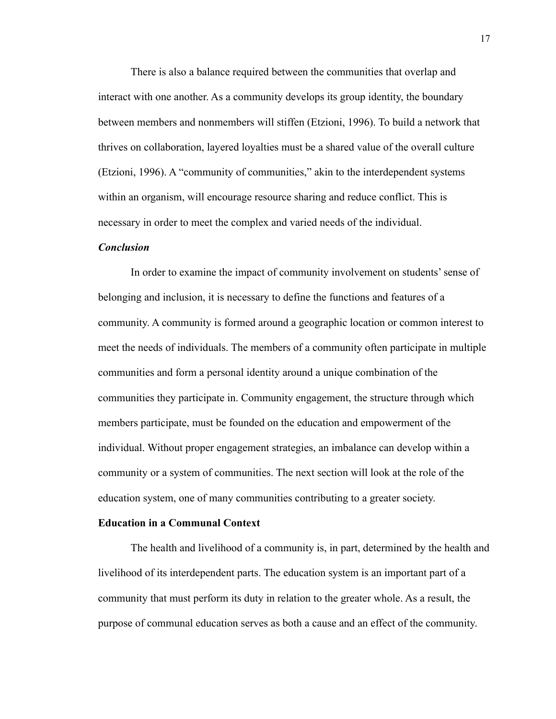There is also a balance required between the communities that overlap and interact with one another. As a community develops its group identity, the boundary between members and nonmembers will stiffen (Etzioni, 1996). To build a network that thrives on collaboration, layered loyalties must be a shared value of the overall culture (Etzioni, 1996). A "community of communities," akin to the interdependent systems within an organism, will encourage resource sharing and reduce conflict. This is necessary in order to meet the complex and varied needs of the individual.

#### *Conclusion*

In order to examine the impact of community involvement on students' sense of belonging and inclusion, it is necessary to define the functions and features of a community. A community is formed around a geographic location or common interest to meet the needs of individuals. The members of a community often participate in multiple communities and form a personal identity around a unique combination of the communities they participate in. Community engagement, the structure through which members participate, must be founded on the education and empowerment of the individual. Without proper engagement strategies, an imbalance can develop within a community or a system of communities. The next section will look at the role of the education system, one of many communities contributing to a greater society.

#### **Education in a Communal Context**

The health and livelihood of a community is, in part, determined by the health and livelihood of its interdependent parts. The education system is an important part of a community that must perform its duty in relation to the greater whole. As a result, the purpose of communal education serves as both a cause and an effect of the community.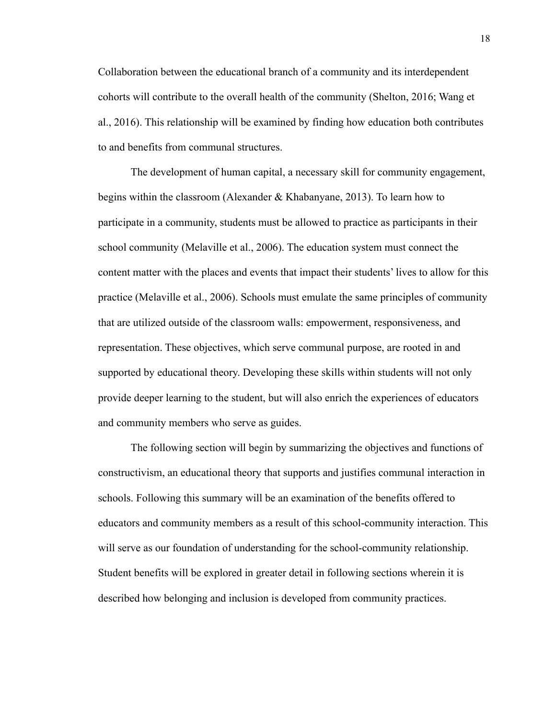Collaboration between the educational branch of a community and its interdependent cohorts will contribute to the overall health of the community (Shelton, 2016; Wang et al., 2016). This relationship will be examined by finding how education both contributes to and benefits from communal structures.

The development of human capital, a necessary skill for community engagement, begins within the classroom (Alexander & Khabanyane, 2013). To learn how to participate in a community, students must be allowed to practice as participants in their school community (Melaville et al., 2006). The education system must connect the content matter with the places and events that impact their students' lives to allow for this practice (Melaville et al., 2006). Schools must emulate the same principles of community that are utilized outside of the classroom walls: empowerment, responsiveness, and representation. These objectives, which serve communal purpose, are rooted in and supported by educational theory. Developing these skills within students will not only provide deeper learning to the student, but will also enrich the experiences of educators and community members who serve as guides.

The following section will begin by summarizing the objectives and functions of constructivism, an educational theory that supports and justifies communal interaction in schools. Following this summary will be an examination of the benefits offered to educators and community members as a result of this school-community interaction. This will serve as our foundation of understanding for the school-community relationship. Student benefits will be explored in greater detail in following sections wherein it is described how belonging and inclusion is developed from community practices.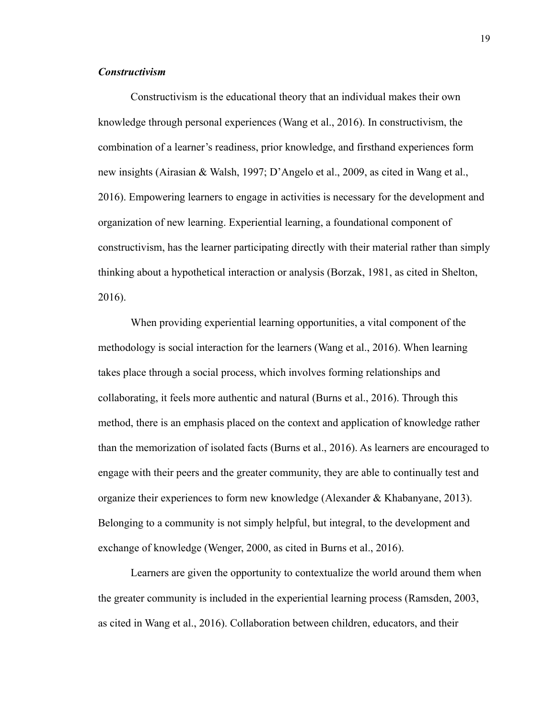#### *Constructivism*

Constructivism is the educational theory that an individual makes their own knowledge through personal experiences (Wang et al., 2016). In constructivism, the combination of a learner's readiness, prior knowledge, and firsthand experiences form new insights (Airasian & Walsh, 1997; D'Angelo et al., 2009, as cited in Wang et al., 2016). Empowering learners to engage in activities is necessary for the development and organization of new learning. Experiential learning, a foundational component of constructivism, has the learner participating directly with their material rather than simply thinking about a hypothetical interaction or analysis (Borzak, 1981, as cited in Shelton, 2016).

When providing experiential learning opportunities, a vital component of the methodology is social interaction for the learners (Wang et al., 2016). When learning takes place through a social process, which involves forming relationships and collaborating, it feels more authentic and natural (Burns et al., 2016). Through this method, there is an emphasis placed on the context and application of knowledge rather than the memorization of isolated facts (Burns et al., 2016). As learners are encouraged to engage with their peers and the greater community, they are able to continually test and organize their experiences to form new knowledge (Alexander & Khabanyane, 2013). Belonging to a community is not simply helpful, but integral, to the development and exchange of knowledge (Wenger, 2000, as cited in Burns et al., 2016).

Learners are given the opportunity to contextualize the world around them when the greater community is included in the experiential learning process (Ramsden, 2003, as cited in Wang et al., 2016). Collaboration between children, educators, and their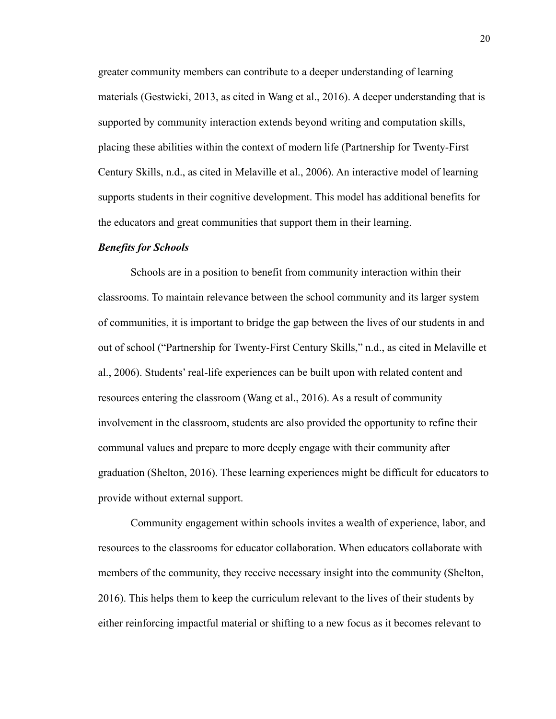greater community members can contribute to a deeper understanding of learning materials (Gestwicki, 2013, as cited in Wang et al., 2016). A deeper understanding that is supported by community interaction extends beyond writing and computation skills, placing these abilities within the context of modern life (Partnership for Twenty-First Century Skills, n.d., as cited in Melaville et al., 2006). An interactive model of learning supports students in their cognitive development. This model has additional benefits for the educators and great communities that support them in their learning.

#### *Benefits for Schools*

Schools are in a position to benefit from community interaction within their classrooms. To maintain relevance between the school community and its larger system of communities, it is important to bridge the gap between the lives of our students in and out of school ("Partnership for Twenty-First Century Skills," n.d., as cited in Melaville et al., 2006). Students' real-life experiences can be built upon with related content and resources entering the classroom (Wang et al., 2016). As a result of community involvement in the classroom, students are also provided the opportunity to refine their communal values and prepare to more deeply engage with their community after graduation (Shelton, 2016). These learning experiences might be difficult for educators to provide without external support.

Community engagement within schools invites a wealth of experience, labor, and resources to the classrooms for educator collaboration. When educators collaborate with members of the community, they receive necessary insight into the community (Shelton, 2016). This helps them to keep the curriculum relevant to the lives of their students by either reinforcing impactful material or shifting to a new focus as it becomes relevant to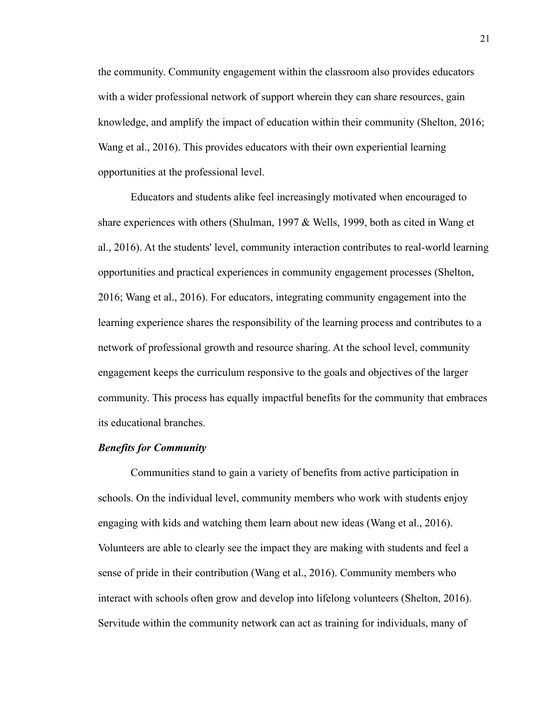the community. Community engagement within the classroom also provides educators with a wider professional network of support wherein they can share resources, gain knowledge, and amplify the impact of education within their community (Shelton, 2016; Wang et al., 2016). This provides educators with their own experiential learning opportunities at the professional level.

Educators and students alike feel increasingly motivated when encouraged to share experiences with others (Shulman, 1997 & Wells, 1999, both as cited in Wang et al., 2016). At the students' level, community interaction contributes to real-world learning opportunities and practical experiences in community engagement processes (Shelton, 2016; Wang et al., 2016). For educators, integrating community engagement into the learning experience shares the responsibility of the learning process and contributes to a network of professional growth and resource sharing. At the school level, community engagement keeps the curriculum responsive to the goals and objectives of the larger community. This process has equally impactful benefits for the community that embraces its educational branches.

#### *Benefits for Community*

Communities stand to gain a variety of benefits from active participation in schools. On the individual level, community members who work with students enjoy engaging with kids and watching them learn about new ideas (Wang et al., 2016). Volunteers are able to clearly see the impact they are making with students and feel a sense of pride in their contribution (Wang et al., 2016). Community members who interact with schools often grow and develop into lifelong volunteers (Shelton, 2016). Servitude within the community network can act as training for individuals, many of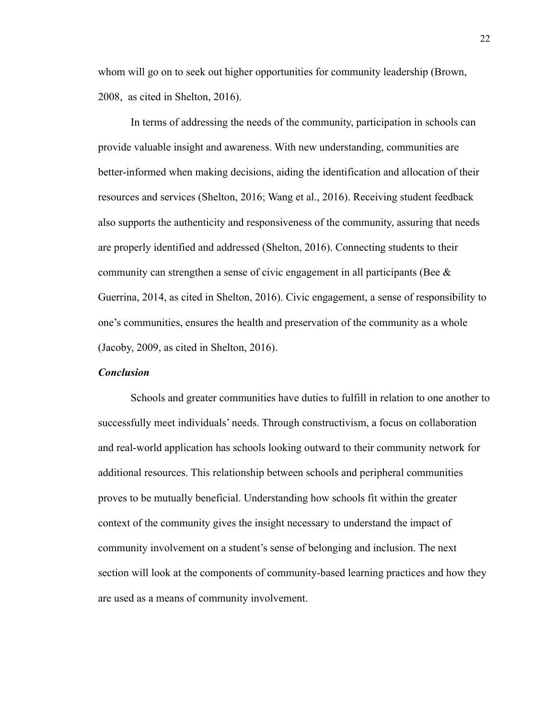whom will go on to seek out higher opportunities for community leadership (Brown, 2008, as cited in Shelton, 2016).

In terms of addressing the needs of the community, participation in schools can provide valuable insight and awareness. With new understanding, communities are better-informed when making decisions, aiding the identification and allocation of their resources and services (Shelton, 2016; Wang et al., 2016). Receiving student feedback also supports the authenticity and responsiveness of the community, assuring that needs are properly identified and addressed (Shelton, 2016). Connecting students to their community can strengthen a sense of civic engagement in all participants (Bee  $\&$ Guerrina, 2014, as cited in Shelton, 2016). Civic engagement, a sense of responsibility to one's communities, ensures the health and preservation of the community as a whole (Jacoby, 2009, as cited in Shelton, 2016).

#### *Conclusion*

Schools and greater communities have duties to fulfill in relation to one another to successfully meet individuals' needs. Through constructivism, a focus on collaboration and real-world application has schools looking outward to their community network for additional resources. This relationship between schools and peripheral communities proves to be mutually beneficial. Understanding how schools fit within the greater context of the community gives the insight necessary to understand the impact of community involvement on a student's sense of belonging and inclusion. The next section will look at the components of community-based learning practices and how they are used as a means of community involvement.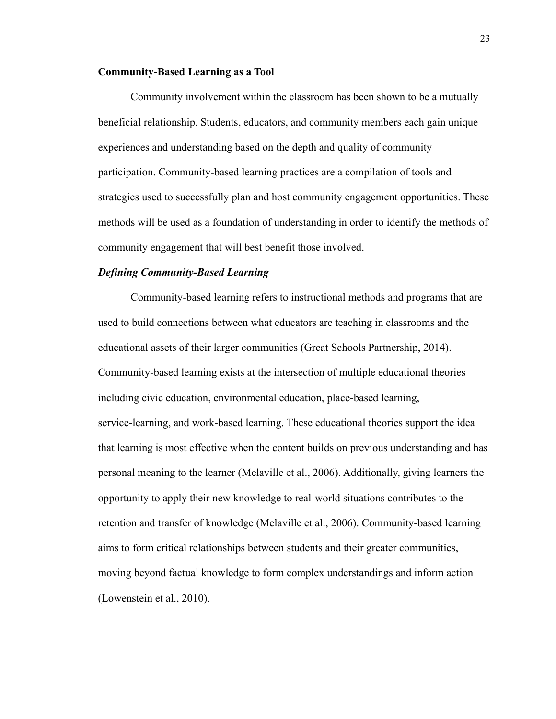#### **Community-Based Learning as a Tool**

Community involvement within the classroom has been shown to be a mutually beneficial relationship. Students, educators, and community members each gain unique experiences and understanding based on the depth and quality of community participation. Community-based learning practices are a compilation of tools and strategies used to successfully plan and host community engagement opportunities. These methods will be used as a foundation of understanding in order to identify the methods of community engagement that will best benefit those involved.

#### *Defining Community-Based Learning*

Community-based learning refers to instructional methods and programs that are used to build connections between what educators are teaching in classrooms and the educational assets of their larger communities (Great Schools Partnership, 2014). Community-based learning exists at the intersection of multiple educational theories including civic education, environmental education, place-based learning, service-learning, and work-based learning. These educational theories support the idea that learning is most effective when the content builds on previous understanding and has personal meaning to the learner (Melaville et al., 2006). Additionally, giving learners the opportunity to apply their new knowledge to real-world situations contributes to the retention and transfer of knowledge (Melaville et al., 2006). Community-based learning aims to form critical relationships between students and their greater communities, moving beyond factual knowledge to form complex understandings and inform action (Lowenstein et al., 2010).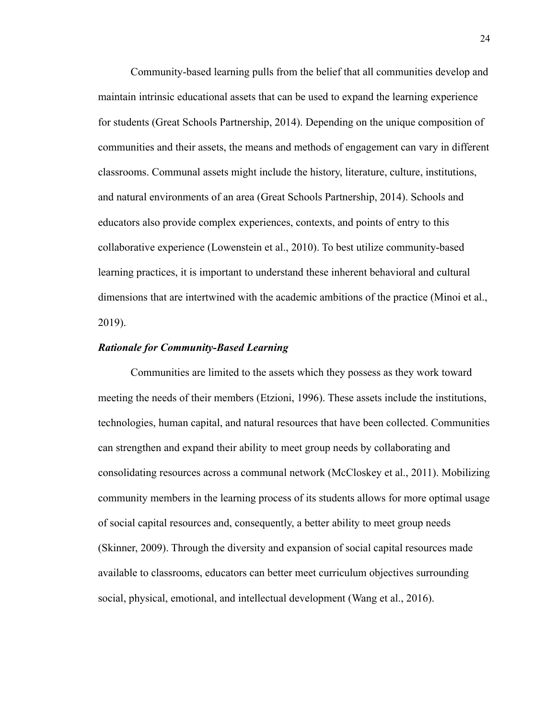Community-based learning pulls from the belief that all communities develop and maintain intrinsic educational assets that can be used to expand the learning experience for students (Great Schools Partnership, 2014). Depending on the unique composition of communities and their assets, the means and methods of engagement can vary in different classrooms. Communal assets might include the history, literature, culture, institutions, and natural environments of an area (Great Schools Partnership, 2014). Schools and educators also provide complex experiences, contexts, and points of entry to this collaborative experience (Lowenstein et al., 2010). To best utilize community-based learning practices, it is important to understand these inherent behavioral and cultural dimensions that are intertwined with the academic ambitions of the practice (Minoi et al., 2019).

#### *Rationale for Community-Based Learning*

Communities are limited to the assets which they possess as they work toward meeting the needs of their members (Etzioni, 1996). These assets include the institutions, technologies, human capital, and natural resources that have been collected. Communities can strengthen and expand their ability to meet group needs by collaborating and consolidating resources across a communal network (McCloskey et al., 2011). Mobilizing community members in the learning process of its students allows for more optimal usage of social capital resources and, consequently, a better ability to meet group needs (Skinner, 2009). Through the diversity and expansion of social capital resources made available to classrooms, educators can better meet curriculum objectives surrounding social, physical, emotional, and intellectual development (Wang et al., 2016).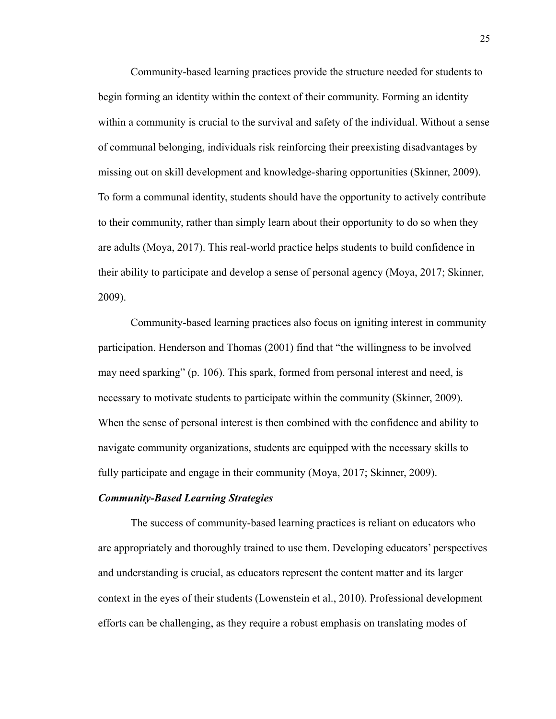Community-based learning practices provide the structure needed for students to begin forming an identity within the context of their community. Forming an identity within a community is crucial to the survival and safety of the individual. Without a sense of communal belonging, individuals risk reinforcing their preexisting disadvantages by missing out on skill development and knowledge-sharing opportunities (Skinner, 2009). To form a communal identity, students should have the opportunity to actively contribute to their community, rather than simply learn about their opportunity to do so when they are adults (Moya, 2017). This real-world practice helps students to build confidence in their ability to participate and develop a sense of personal agency (Moya, 2017; Skinner, 2009).

Community-based learning practices also focus on igniting interest in community participation. Henderson and Thomas (2001) find that "the willingness to be involved may need sparking" (p. 106). This spark, formed from personal interest and need, is necessary to motivate students to participate within the community (Skinner, 2009). When the sense of personal interest is then combined with the confidence and ability to navigate community organizations, students are equipped with the necessary skills to fully participate and engage in their community (Moya, 2017; Skinner, 2009).

#### *Community-Based Learning Strategies*

The success of community-based learning practices is reliant on educators who are appropriately and thoroughly trained to use them. Developing educators' perspectives and understanding is crucial, as educators represent the content matter and its larger context in the eyes of their students (Lowenstein et al., 2010). Professional development efforts can be challenging, as they require a robust emphasis on translating modes of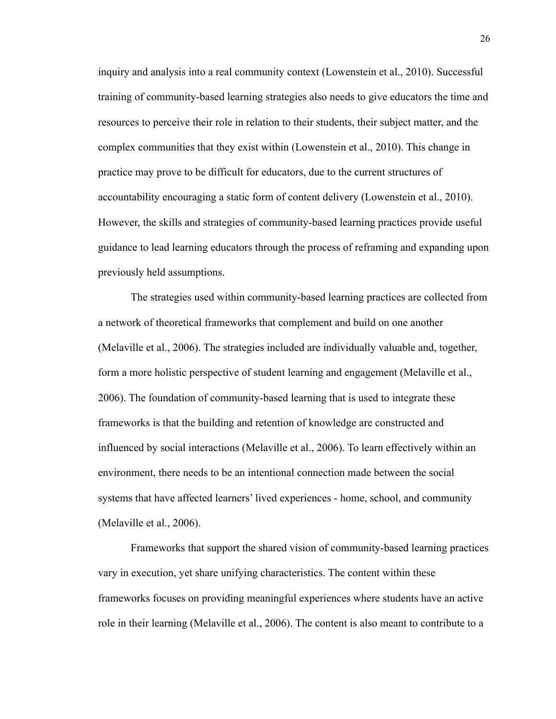inquiry and analysis into a real community context (Lowenstein et al., 2010). Successful training of community-based learning strategies also needs to give educators the time and resources to perceive their role in relation to their students, their subject matter, and the complex communities that they exist within (Lowenstein et al., 2010). This change in practice may prove to be difficult for educators, due to the current structures of accountability encouraging a static form of content delivery (Lowenstein et al., 2010). However, the skills and strategies of community-based learning practices provide useful guidance to lead learning educators through the process of reframing and expanding upon previously held assumptions.

The strategies used within community-based learning practices are collected from a network of theoretical frameworks that complement and build on one another (Melaville et al., 2006). The strategies included are individually valuable and, together, form a more holistic perspective of student learning and engagement (Melaville et al., 2006). The foundation of community-based learning that is used to integrate these frameworks is that the building and retention of knowledge are constructed and influenced by social interactions (Melaville et al., 2006). To learn effectively within an environment, there needs to be an intentional connection made between the social systems that have affected learners' lived experiences - home, school, and community (Melaville et al., 2006).

Frameworks that support the shared vision of community-based learning practices vary in execution, yet share unifying characteristics. The content within these frameworks focuses on providing meaningful experiences where students have an active role in their learning (Melaville et al., 2006). The content is also meant to contribute to a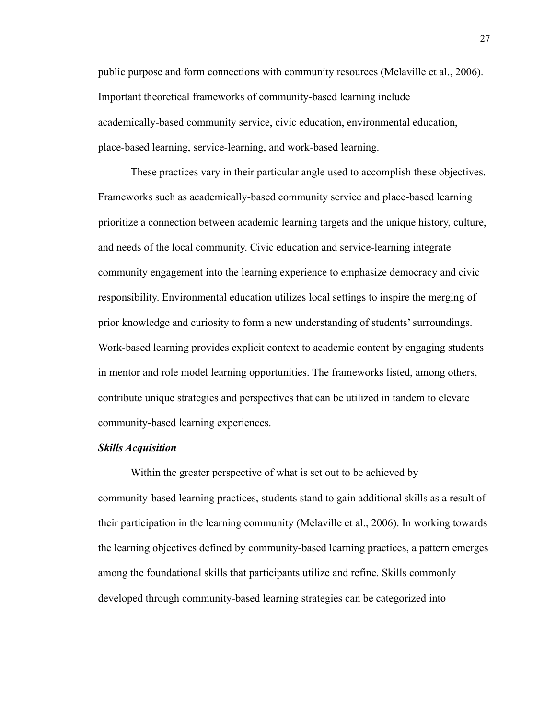public purpose and form connections with community resources (Melaville et al., 2006). Important theoretical frameworks of community-based learning include academically-based community service, civic education, environmental education, place-based learning, service-learning, and work-based learning.

These practices vary in their particular angle used to accomplish these objectives. Frameworks such as academically-based community service and place-based learning prioritize a connection between academic learning targets and the unique history, culture, and needs of the local community. Civic education and service-learning integrate community engagement into the learning experience to emphasize democracy and civic responsibility. Environmental education utilizes local settings to inspire the merging of prior knowledge and curiosity to form a new understanding of students' surroundings. Work-based learning provides explicit context to academic content by engaging students in mentor and role model learning opportunities. The frameworks listed, among others, contribute unique strategies and perspectives that can be utilized in tandem to elevate community-based learning experiences.

#### *Skills Acquisition*

Within the greater perspective of what is set out to be achieved by community-based learning practices, students stand to gain additional skills as a result of their participation in the learning community (Melaville et al., 2006). In working towards the learning objectives defined by community-based learning practices, a pattern emerges among the foundational skills that participants utilize and refine. Skills commonly developed through community-based learning strategies can be categorized into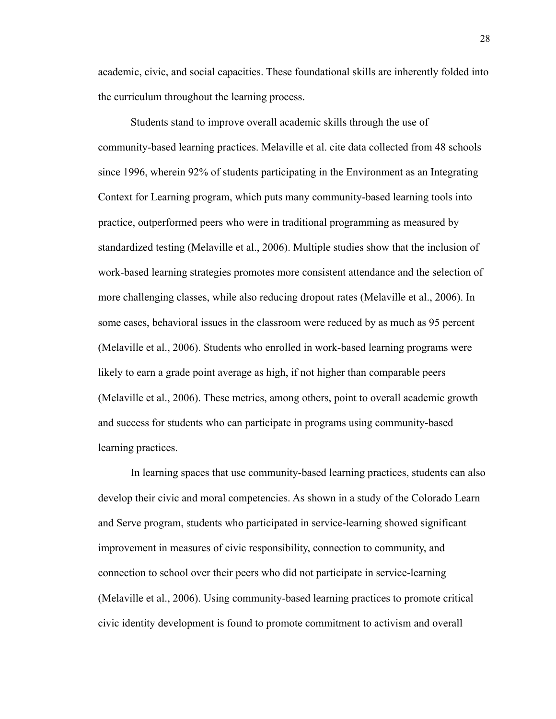academic, civic, and social capacities. These foundational skills are inherently folded into the curriculum throughout the learning process.

Students stand to improve overall academic skills through the use of community-based learning practices. Melaville et al. cite data collected from 48 schools since 1996, wherein 92% of students participating in the Environment as an Integrating Context for Learning program, which puts many community-based learning tools into practice, outperformed peers who were in traditional programming as measured by standardized testing (Melaville et al., 2006). Multiple studies show that the inclusion of work-based learning strategies promotes more consistent attendance and the selection of more challenging classes, while also reducing dropout rates (Melaville et al., 2006). In some cases, behavioral issues in the classroom were reduced by as much as 95 percent (Melaville et al., 2006). Students who enrolled in work-based learning programs were likely to earn a grade point average as high, if not higher than comparable peers (Melaville et al., 2006). These metrics, among others, point to overall academic growth and success for students who can participate in programs using community-based learning practices.

In learning spaces that use community-based learning practices, students can also develop their civic and moral competencies. As shown in a study of the Colorado Learn and Serve program, students who participated in service-learning showed significant improvement in measures of civic responsibility, connection to community, and connection to school over their peers who did not participate in service-learning (Melaville et al., 2006). Using community-based learning practices to promote critical civic identity development is found to promote commitment to activism and overall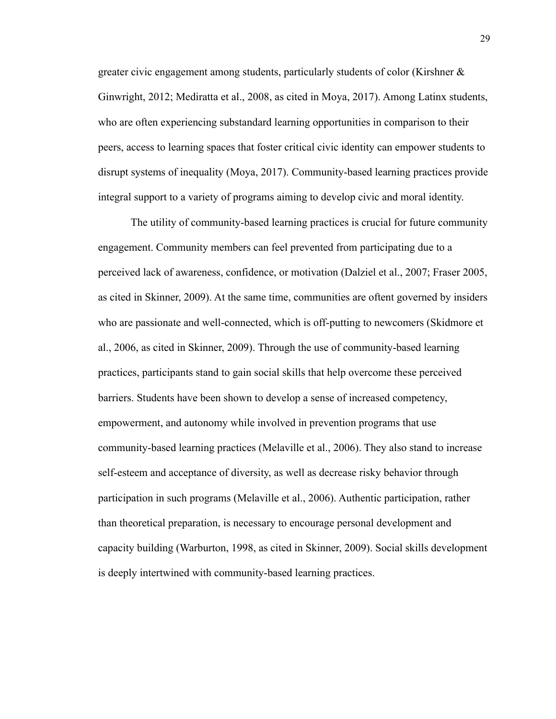greater civic engagement among students, particularly students of color (Kirshner & Ginwright, 2012; Mediratta et al., 2008, as cited in Moya, 2017). Among Latinx students, who are often experiencing substandard learning opportunities in comparison to their peers, access to learning spaces that foster critical civic identity can empower students to disrupt systems of inequality (Moya, 2017). Community-based learning practices provide integral support to a variety of programs aiming to develop civic and moral identity.

The utility of community-based learning practices is crucial for future community engagement. Community members can feel prevented from participating due to a perceived lack of awareness, confidence, or motivation (Dalziel et al., 2007; Fraser 2005, as cited in Skinner, 2009). At the same time, communities are oftent governed by insiders who are passionate and well-connected, which is off-putting to newcomers (Skidmore et al., 2006, as cited in Skinner, 2009). Through the use of community-based learning practices, participants stand to gain social skills that help overcome these perceived barriers. Students have been shown to develop a sense of increased competency, empowerment, and autonomy while involved in prevention programs that use community-based learning practices (Melaville et al., 2006). They also stand to increase self-esteem and acceptance of diversity, as well as decrease risky behavior through participation in such programs (Melaville et al., 2006). Authentic participation, rather than theoretical preparation, is necessary to encourage personal development and capacity building (Warburton, 1998, as cited in Skinner, 2009). Social skills development is deeply intertwined with community-based learning practices.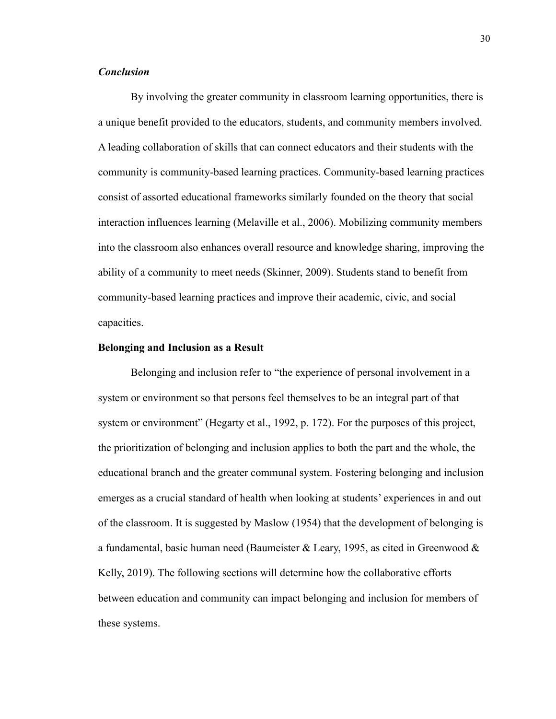#### *Conclusion*

By involving the greater community in classroom learning opportunities, there is a unique benefit provided to the educators, students, and community members involved. A leading collaboration of skills that can connect educators and their students with the community is community-based learning practices. Community-based learning practices consist of assorted educational frameworks similarly founded on the theory that social interaction influences learning (Melaville et al., 2006). Mobilizing community members into the classroom also enhances overall resource and knowledge sharing, improving the ability of a community to meet needs (Skinner, 2009). Students stand to benefit from community-based learning practices and improve their academic, civic, and social capacities.

#### **Belonging and Inclusion as a Result**

Belonging and inclusion refer to "the experience of personal involvement in a system or environment so that persons feel themselves to be an integral part of that system or environment" (Hegarty et al., 1992, p. 172). For the purposes of this project, the prioritization of belonging and inclusion applies to both the part and the whole, the educational branch and the greater communal system. Fostering belonging and inclusion emerges as a crucial standard of health when looking at students' experiences in and out of the classroom. It is suggested by Maslow (1954) that the development of belonging is a fundamental, basic human need (Baumeister & Leary, 1995, as cited in Greenwood & Kelly, 2019). The following sections will determine how the collaborative efforts between education and community can impact belonging and inclusion for members of these systems.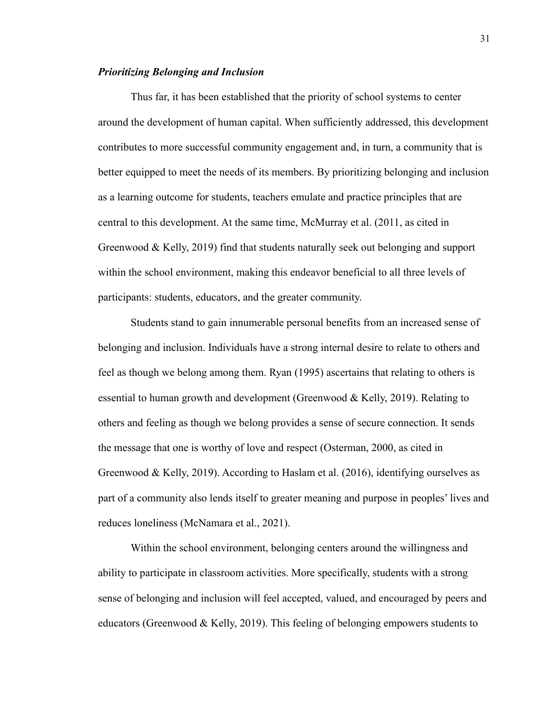#### *Prioritizing Belonging and Inclusion*

Thus far, it has been established that the priority of school systems to center around the development of human capital. When sufficiently addressed, this development contributes to more successful community engagement and, in turn, a community that is better equipped to meet the needs of its members. By prioritizing belonging and inclusion as a learning outcome for students, teachers emulate and practice principles that are central to this development. At the same time, McMurray et al. (2011, as cited in Greenwood & Kelly, 2019) find that students naturally seek out belonging and support within the school environment, making this endeavor beneficial to all three levels of participants: students, educators, and the greater community.

Students stand to gain innumerable personal benefits from an increased sense of belonging and inclusion. Individuals have a strong internal desire to relate to others and feel as though we belong among them. Ryan (1995) ascertains that relating to others is essential to human growth and development (Greenwood & Kelly, 2019). Relating to others and feeling as though we belong provides a sense of secure connection. It sends the message that one is worthy of love and respect (Osterman, 2000, as cited in Greenwood & Kelly, 2019). According to Haslam et al. (2016), identifying ourselves as part of a community also lends itself to greater meaning and purpose in peoples' lives and reduces loneliness (McNamara et al., 2021).

Within the school environment, belonging centers around the willingness and ability to participate in classroom activities. More specifically, students with a strong sense of belonging and inclusion will feel accepted, valued, and encouraged by peers and educators (Greenwood & Kelly, 2019). This feeling of belonging empowers students to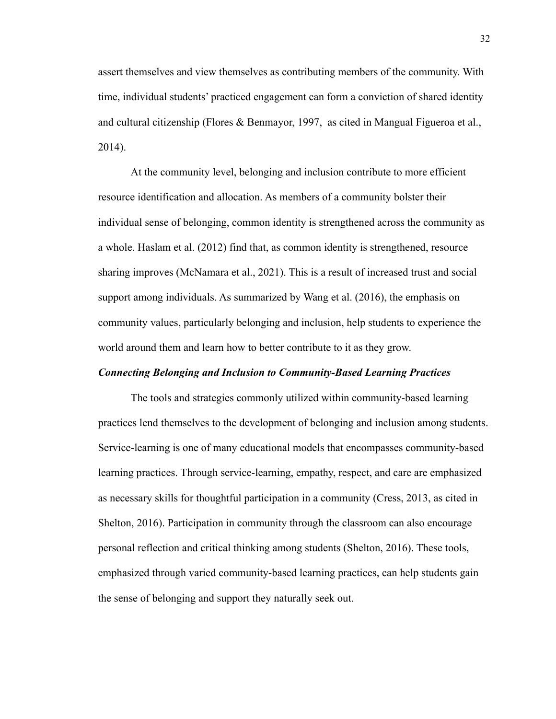assert themselves and view themselves as contributing members of the community. With time, individual students' practiced engagement can form a conviction of shared identity and cultural citizenship (Flores & Benmayor, 1997, as cited in Mangual Figueroa et al., 2014).

At the community level, belonging and inclusion contribute to more efficient resource identification and allocation. As members of a community bolster their individual sense of belonging, common identity is strengthened across the community as a whole. Haslam et al. (2012) find that, as common identity is strengthened, resource sharing improves (McNamara et al., 2021). This is a result of increased trust and social support among individuals. As summarized by Wang et al. (2016), the emphasis on community values, particularly belonging and inclusion, help students to experience the world around them and learn how to better contribute to it as they grow.

#### *Connecting Belonging and Inclusion to Community-Based Learning Practices*

The tools and strategies commonly utilized within community-based learning practices lend themselves to the development of belonging and inclusion among students. Service-learning is one of many educational models that encompasses community-based learning practices. Through service-learning, empathy, respect, and care are emphasized as necessary skills for thoughtful participation in a community (Cress, 2013, as cited in Shelton, 2016). Participation in community through the classroom can also encourage personal reflection and critical thinking among students (Shelton, 2016). These tools, emphasized through varied community-based learning practices, can help students gain the sense of belonging and support they naturally seek out.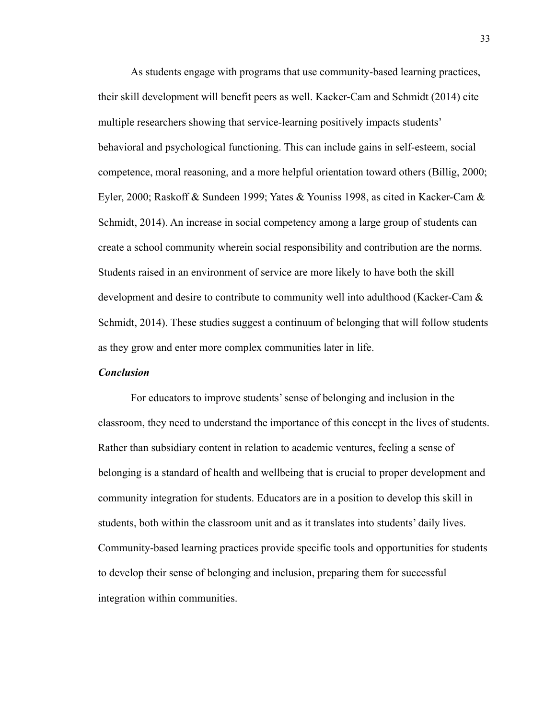As students engage with programs that use community-based learning practices, their skill development will benefit peers as well. Kacker-Cam and Schmidt (2014) cite multiple researchers showing that service-learning positively impacts students' behavioral and psychological functioning. This can include gains in self-esteem, social competence, moral reasoning, and a more helpful orientation toward others (Billig, 2000; Eyler, 2000; Raskoff & Sundeen 1999; Yates & Youniss 1998, as cited in Kacker-Cam & Schmidt, 2014). An increase in social competency among a large group of students can create a school community wherein social responsibility and contribution are the norms. Students raised in an environment of service are more likely to have both the skill development and desire to contribute to community well into adulthood (Kacker-Cam & Schmidt, 2014). These studies suggest a continuum of belonging that will follow students as they grow and enter more complex communities later in life.

#### *Conclusion*

For educators to improve students' sense of belonging and inclusion in the classroom, they need to understand the importance of this concept in the lives of students. Rather than subsidiary content in relation to academic ventures, feeling a sense of belonging is a standard of health and wellbeing that is crucial to proper development and community integration for students. Educators are in a position to develop this skill in students, both within the classroom unit and as it translates into students' daily lives. Community-based learning practices provide specific tools and opportunities for students to develop their sense of belonging and inclusion, preparing them for successful integration within communities.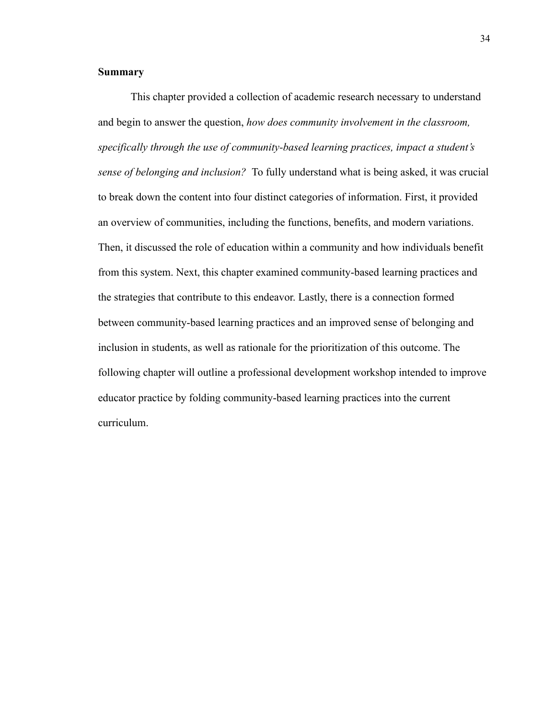#### **Summary**

This chapter provided a collection of academic research necessary to understand and begin to answer the question, *how does community involvement in the classroom, specifically through the use of community-based learning practices, impact a student's sense of belonging and inclusion?* To fully understand what is being asked, it was crucial to break down the content into four distinct categories of information. First, it provided an overview of communities, including the functions, benefits, and modern variations. Then, it discussed the role of education within a community and how individuals benefit from this system. Next, this chapter examined community-based learning practices and the strategies that contribute to this endeavor. Lastly, there is a connection formed between community-based learning practices and an improved sense of belonging and inclusion in students, as well as rationale for the prioritization of this outcome. The following chapter will outline a professional development workshop intended to improve educator practice by folding community-based learning practices into the current curriculum.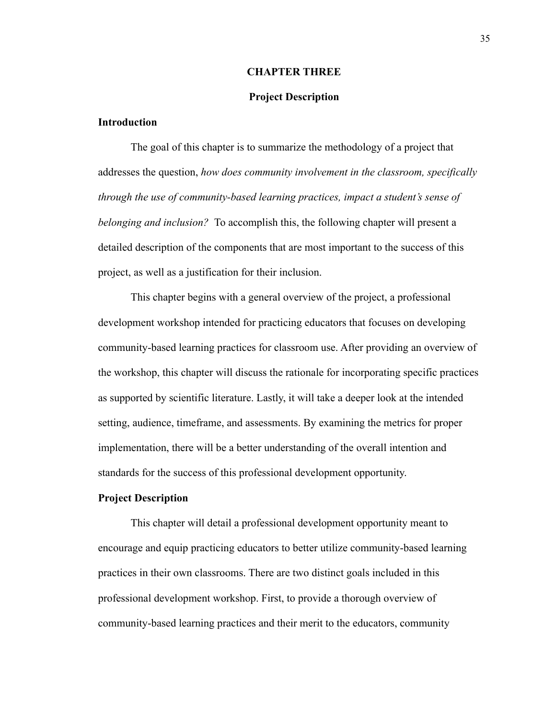#### **CHAPTER THREE**

#### **Project Description**

#### **Introduction**

The goal of this chapter is to summarize the methodology of a project that addresses the question, *how does community involvement in the classroom, specifically through the use of community-based learning practices, impact a student's sense of belonging and inclusion?* To accomplish this, the following chapter will present a detailed description of the components that are most important to the success of this project, as well as a justification for their inclusion.

This chapter begins with a general overview of the project, a professional development workshop intended for practicing educators that focuses on developing community-based learning practices for classroom use. After providing an overview of the workshop, this chapter will discuss the rationale for incorporating specific practices as supported by scientific literature. Lastly, it will take a deeper look at the intended setting, audience, timeframe, and assessments. By examining the metrics for proper implementation, there will be a better understanding of the overall intention and standards for the success of this professional development opportunity.

#### **Project Description**

This chapter will detail a professional development opportunity meant to encourage and equip practicing educators to better utilize community-based learning practices in their own classrooms. There are two distinct goals included in this professional development workshop. First, to provide a thorough overview of community-based learning practices and their merit to the educators, community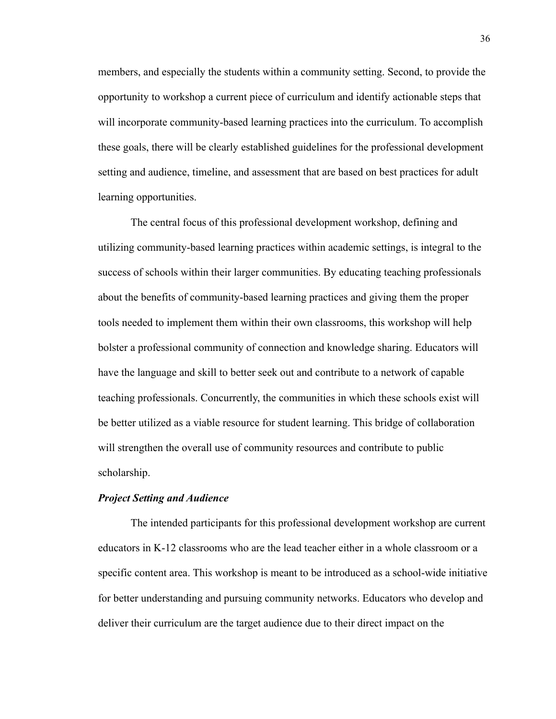members, and especially the students within a community setting. Second, to provide the opportunity to workshop a current piece of curriculum and identify actionable steps that will incorporate community-based learning practices into the curriculum. To accomplish these goals, there will be clearly established guidelines for the professional development setting and audience, timeline, and assessment that are based on best practices for adult learning opportunities.

The central focus of this professional development workshop, defining and utilizing community-based learning practices within academic settings, is integral to the success of schools within their larger communities. By educating teaching professionals about the benefits of community-based learning practices and giving them the proper tools needed to implement them within their own classrooms, this workshop will help bolster a professional community of connection and knowledge sharing. Educators will have the language and skill to better seek out and contribute to a network of capable teaching professionals. Concurrently, the communities in which these schools exist will be better utilized as a viable resource for student learning. This bridge of collaboration will strengthen the overall use of community resources and contribute to public scholarship.

#### *Project Setting and Audience*

The intended participants for this professional development workshop are current educators in K-12 classrooms who are the lead teacher either in a whole classroom or a specific content area. This workshop is meant to be introduced as a school-wide initiative for better understanding and pursuing community networks. Educators who develop and deliver their curriculum are the target audience due to their direct impact on the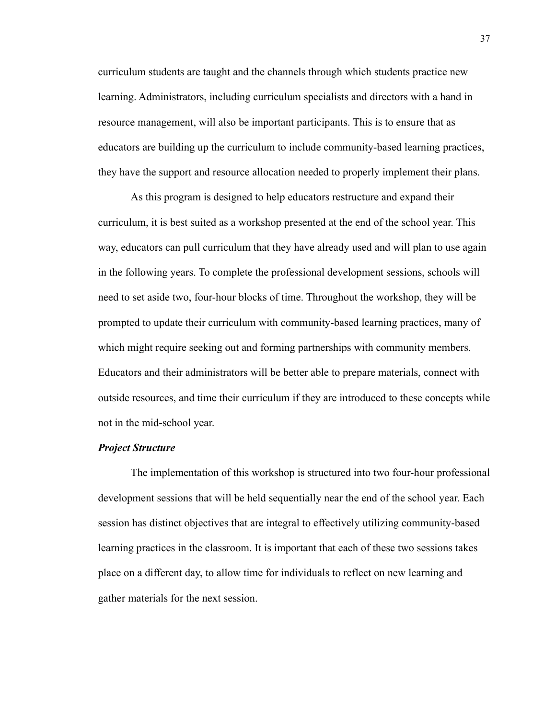curriculum students are taught and the channels through which students practice new learning. Administrators, including curriculum specialists and directors with a hand in resource management, will also be important participants. This is to ensure that as educators are building up the curriculum to include community-based learning practices, they have the support and resource allocation needed to properly implement their plans.

As this program is designed to help educators restructure and expand their curriculum, it is best suited as a workshop presented at the end of the school year. This way, educators can pull curriculum that they have already used and will plan to use again in the following years. To complete the professional development sessions, schools will need to set aside two, four-hour blocks of time. Throughout the workshop, they will be prompted to update their curriculum with community-based learning practices, many of which might require seeking out and forming partnerships with community members. Educators and their administrators will be better able to prepare materials, connect with outside resources, and time their curriculum if they are introduced to these concepts while not in the mid-school year.

#### *Project Structure*

The implementation of this workshop is structured into two four-hour professional development sessions that will be held sequentially near the end of the school year. Each session has distinct objectives that are integral to effectively utilizing community-based learning practices in the classroom. It is important that each of these two sessions takes place on a different day, to allow time for individuals to reflect on new learning and gather materials for the next session.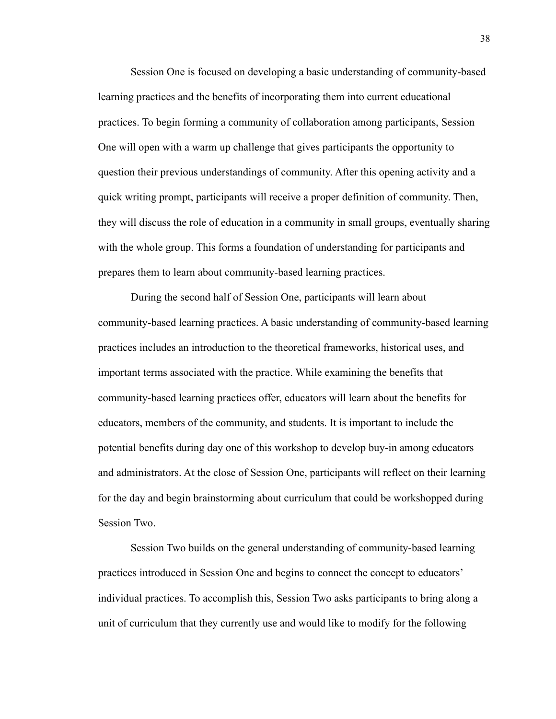Session One is focused on developing a basic understanding of community-based learning practices and the benefits of incorporating them into current educational practices. To begin forming a community of collaboration among participants, Session One will open with a warm up challenge that gives participants the opportunity to question their previous understandings of community. After this opening activity and a quick writing prompt, participants will receive a proper definition of community. Then, they will discuss the role of education in a community in small groups, eventually sharing with the whole group. This forms a foundation of understanding for participants and prepares them to learn about community-based learning practices.

During the second half of Session One, participants will learn about community-based learning practices. A basic understanding of community-based learning practices includes an introduction to the theoretical frameworks, historical uses, and important terms associated with the practice. While examining the benefits that community-based learning practices offer, educators will learn about the benefits for educators, members of the community, and students. It is important to include the potential benefits during day one of this workshop to develop buy-in among educators and administrators. At the close of Session One, participants will reflect on their learning for the day and begin brainstorming about curriculum that could be workshopped during Session Two.

Session Two builds on the general understanding of community-based learning practices introduced in Session One and begins to connect the concept to educators' individual practices. To accomplish this, Session Two asks participants to bring along a unit of curriculum that they currently use and would like to modify for the following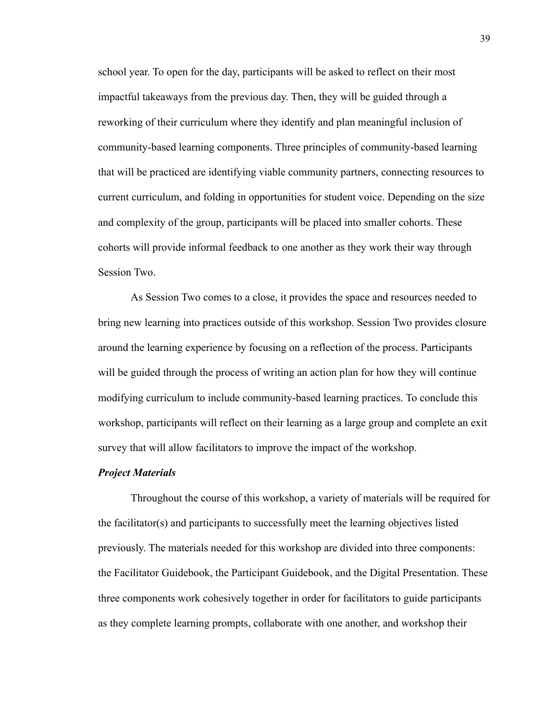school year. To open for the day, participants will be asked to reflect on their most impactful takeaways from the previous day. Then, they will be guided through a reworking of their curriculum where they identify and plan meaningful inclusion of community-based learning components. Three principles of community-based learning that will be practiced are identifying viable community partners, connecting resources to current curriculum, and folding in opportunities for student voice. Depending on the size and complexity of the group, participants will be placed into smaller cohorts. These cohorts will provide informal feedback to one another as they work their way through Session Two.

As Session Two comes to a close, it provides the space and resources needed to bring new learning into practices outside of this workshop. Session Two provides closure around the learning experience by focusing on a reflection of the process. Participants will be guided through the process of writing an action plan for how they will continue modifying curriculum to include community-based learning practices. To conclude this workshop, participants will reflect on their learning as a large group and complete an exit survey that will allow facilitators to improve the impact of the workshop.

#### *Project Materials*

Throughout the course of this workshop, a variety of materials will be required for the facilitator(s) and participants to successfully meet the learning objectives listed previously. The materials needed for this workshop are divided into three components: the Facilitator Guidebook, the Participant Guidebook, and the Digital Presentation. These three components work cohesively together in order for facilitators to guide participants as they complete learning prompts, collaborate with one another, and workshop their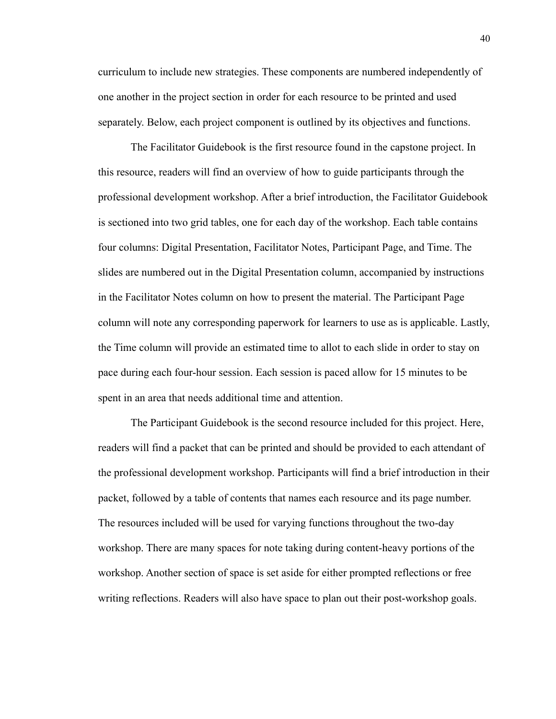curriculum to include new strategies. These components are numbered independently of one another in the project section in order for each resource to be printed and used separately. Below, each project component is outlined by its objectives and functions.

The Facilitator Guidebook is the first resource found in the capstone project. In this resource, readers will find an overview of how to guide participants through the professional development workshop. After a brief introduction, the Facilitator Guidebook is sectioned into two grid tables, one for each day of the workshop. Each table contains four columns: Digital Presentation, Facilitator Notes, Participant Page, and Time. The slides are numbered out in the Digital Presentation column, accompanied by instructions in the Facilitator Notes column on how to present the material. The Participant Page column will note any corresponding paperwork for learners to use as is applicable. Lastly, the Time column will provide an estimated time to allot to each slide in order to stay on pace during each four-hour session. Each session is paced allow for 15 minutes to be spent in an area that needs additional time and attention.

The Participant Guidebook is the second resource included for this project. Here, readers will find a packet that can be printed and should be provided to each attendant of the professional development workshop. Participants will find a brief introduction in their packet, followed by a table of contents that names each resource and its page number. The resources included will be used for varying functions throughout the two-day workshop. There are many spaces for note taking during content-heavy portions of the workshop. Another section of space is set aside for either prompted reflections or free writing reflections. Readers will also have space to plan out their post-workshop goals.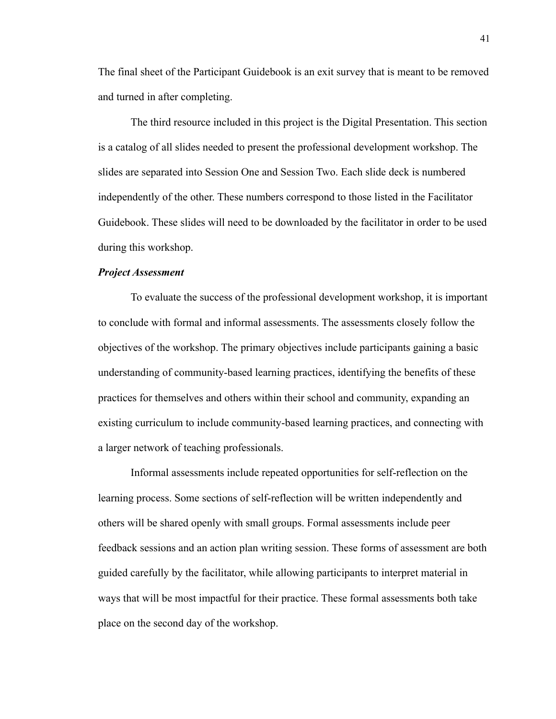The final sheet of the Participant Guidebook is an exit survey that is meant to be removed and turned in after completing.

The third resource included in this project is the Digital Presentation. This section is a catalog of all slides needed to present the professional development workshop. The slides are separated into Session One and Session Two. Each slide deck is numbered independently of the other. These numbers correspond to those listed in the Facilitator Guidebook. These slides will need to be downloaded by the facilitator in order to be used during this workshop.

#### *Project Assessment*

To evaluate the success of the professional development workshop, it is important to conclude with formal and informal assessments. The assessments closely follow the objectives of the workshop. The primary objectives include participants gaining a basic understanding of community-based learning practices, identifying the benefits of these practices for themselves and others within their school and community, expanding an existing curriculum to include community-based learning practices, and connecting with a larger network of teaching professionals.

Informal assessments include repeated opportunities for self-reflection on the learning process. Some sections of self-reflection will be written independently and others will be shared openly with small groups. Formal assessments include peer feedback sessions and an action plan writing session. These forms of assessment are both guided carefully by the facilitator, while allowing participants to interpret material in ways that will be most impactful for their practice. These formal assessments both take place on the second day of the workshop.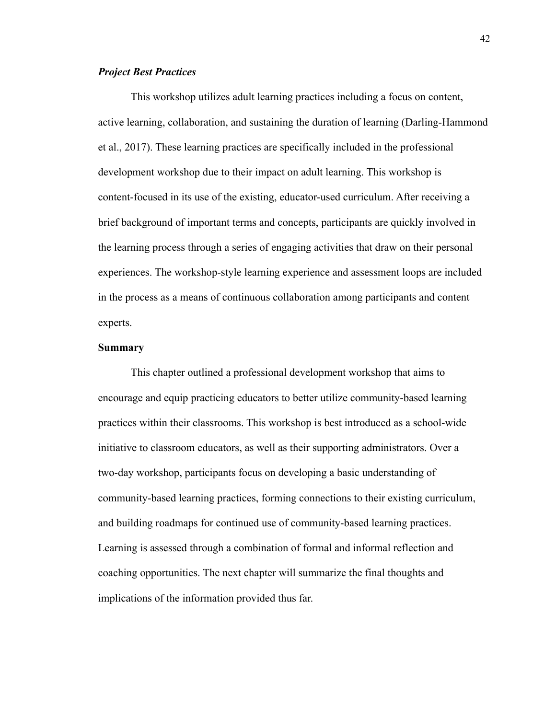#### *Project Best Practices*

This workshop utilizes adult learning practices including a focus on content, active learning, collaboration, and sustaining the duration of learning (Darling-Hammond et al., 2017). These learning practices are specifically included in the professional development workshop due to their impact on adult learning. This workshop is content-focused in its use of the existing, educator-used curriculum. After receiving a brief background of important terms and concepts, participants are quickly involved in the learning process through a series of engaging activities that draw on their personal experiences. The workshop-style learning experience and assessment loops are included in the process as a means of continuous collaboration among participants and content experts.

#### **Summary**

This chapter outlined a professional development workshop that aims to encourage and equip practicing educators to better utilize community-based learning practices within their classrooms. This workshop is best introduced as a school-wide initiative to classroom educators, as well as their supporting administrators. Over a two-day workshop, participants focus on developing a basic understanding of community-based learning practices, forming connections to their existing curriculum, and building roadmaps for continued use of community-based learning practices. Learning is assessed through a combination of formal and informal reflection and coaching opportunities. The next chapter will summarize the final thoughts and implications of the information provided thus far.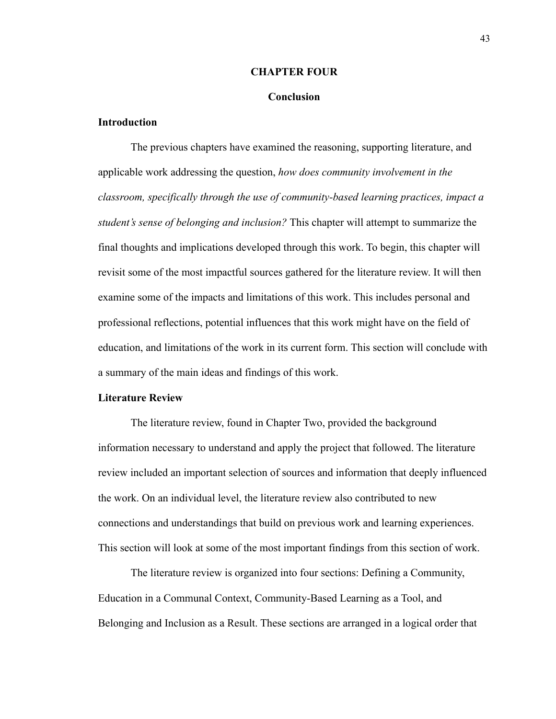#### **CHAPTER FOUR**

#### **Conclusion**

#### **Introduction**

The previous chapters have examined the reasoning, supporting literature, and applicable work addressing the question, *how does community involvement in the classroom, specifically through the use of community-based learning practices, impact a student's sense of belonging and inclusion?* This chapter will attempt to summarize the final thoughts and implications developed through this work. To begin, this chapter will revisit some of the most impactful sources gathered for the literature review. It will then examine some of the impacts and limitations of this work. This includes personal and professional reflections, potential influences that this work might have on the field of education, and limitations of the work in its current form. This section will conclude with a summary of the main ideas and findings of this work.

#### **Literature Review**

The literature review, found in Chapter Two, provided the background information necessary to understand and apply the project that followed. The literature review included an important selection of sources and information that deeply influenced the work. On an individual level, the literature review also contributed to new connections and understandings that build on previous work and learning experiences. This section will look at some of the most important findings from this section of work.

The literature review is organized into four sections: Defining a Community, Education in a Communal Context, Community-Based Learning as a Tool, and Belonging and Inclusion as a Result. These sections are arranged in a logical order that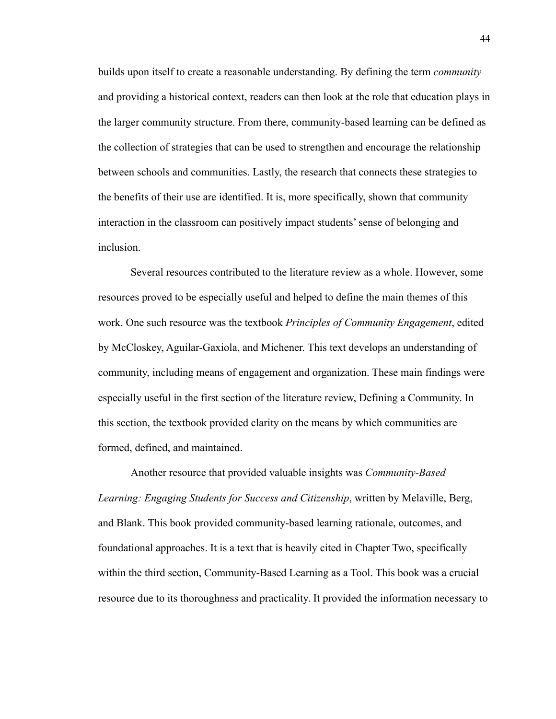builds upon itself to create a reasonable understanding. By defining the term *community* and providing a historical context, readers can then look at the role that education plays in the larger community structure. From there, community-based learning can be defined as the collection of strategies that can be used to strengthen and encourage the relationship between schools and communities. Lastly, the research that connects these strategies to the benefits of their use are identified. It is, more specifically, shown that community interaction in the classroom can positively impact students' sense of belonging and inclusion.

Several resources contributed to the literature review as a whole. However, some resources proved to be especially useful and helped to define the main themes of this work. One such resource was the textbook *Principles of Community Engagement*, edited by McCloskey, Aguilar-Gaxiola, and Michener. This text develops an understanding of community, including means of engagement and organization. These main findings were especially useful in the first section of the literature review, Defining a Community. In this section, the textbook provided clarity on the means by which communities are formed, defined, and maintained.

Another resource that provided valuable insights was *Community-Based Learning: Engaging Students for Success and Citizenship*, written by Melaville, Berg, and Blank. This book provided community-based learning rationale, outcomes, and foundational approaches. It is a text that is heavily cited in Chapter Two, specifically within the third section, Community-Based Learning as a Tool. This book was a crucial resource due to its thoroughness and practicality. It provided the information necessary to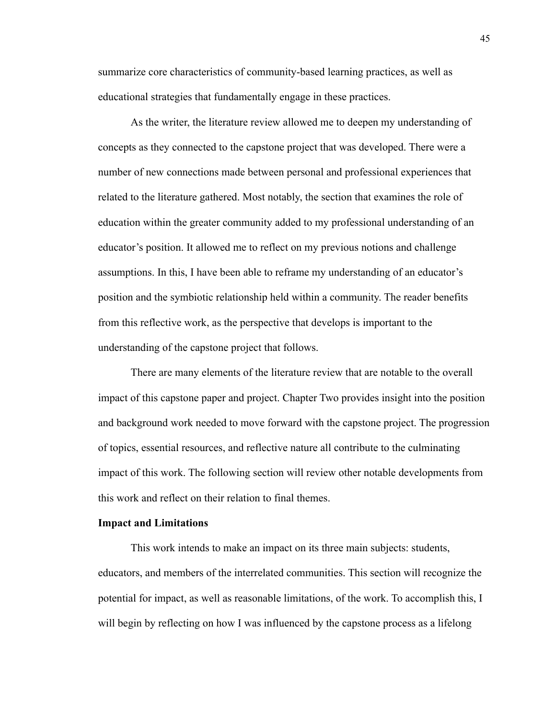summarize core characteristics of community-based learning practices, as well as educational strategies that fundamentally engage in these practices.

As the writer, the literature review allowed me to deepen my understanding of concepts as they connected to the capstone project that was developed. There were a number of new connections made between personal and professional experiences that related to the literature gathered. Most notably, the section that examines the role of education within the greater community added to my professional understanding of an educator's position. It allowed me to reflect on my previous notions and challenge assumptions. In this, I have been able to reframe my understanding of an educator's position and the symbiotic relationship held within a community. The reader benefits from this reflective work, as the perspective that develops is important to the understanding of the capstone project that follows.

There are many elements of the literature review that are notable to the overall impact of this capstone paper and project. Chapter Two provides insight into the position and background work needed to move forward with the capstone project. The progression of topics, essential resources, and reflective nature all contribute to the culminating impact of this work. The following section will review other notable developments from this work and reflect on their relation to final themes.

#### **Impact and Limitations**

This work intends to make an impact on its three main subjects: students, educators, and members of the interrelated communities. This section will recognize the potential for impact, as well as reasonable limitations, of the work. To accomplish this, I will begin by reflecting on how I was influenced by the capstone process as a lifelong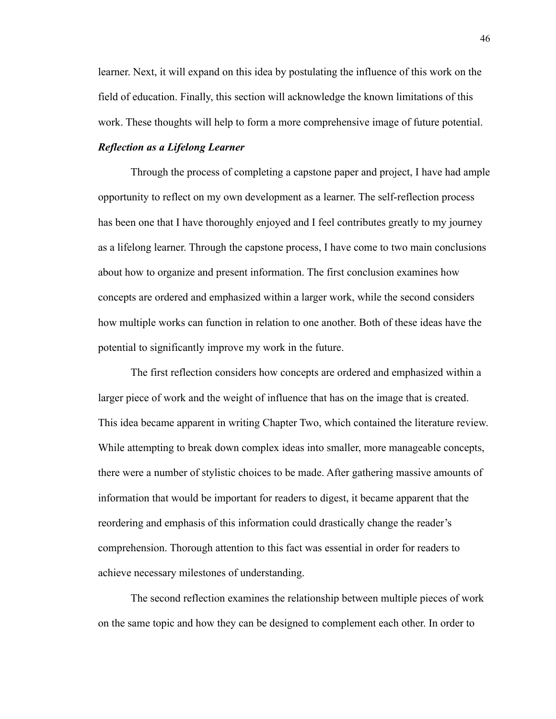learner. Next, it will expand on this idea by postulating the influence of this work on the field of education. Finally, this section will acknowledge the known limitations of this work. These thoughts will help to form a more comprehensive image of future potential.

#### *Reflection as a Lifelong Learner*

Through the process of completing a capstone paper and project, I have had ample opportunity to reflect on my own development as a learner. The self-reflection process has been one that I have thoroughly enjoyed and I feel contributes greatly to my journey as a lifelong learner. Through the capstone process, I have come to two main conclusions about how to organize and present information. The first conclusion examines how concepts are ordered and emphasized within a larger work, while the second considers how multiple works can function in relation to one another. Both of these ideas have the potential to significantly improve my work in the future.

The first reflection considers how concepts are ordered and emphasized within a larger piece of work and the weight of influence that has on the image that is created. This idea became apparent in writing Chapter Two, which contained the literature review. While attempting to break down complex ideas into smaller, more manageable concepts, there were a number of stylistic choices to be made. After gathering massive amounts of information that would be important for readers to digest, it became apparent that the reordering and emphasis of this information could drastically change the reader's comprehension. Thorough attention to this fact was essential in order for readers to achieve necessary milestones of understanding.

The second reflection examines the relationship between multiple pieces of work on the same topic and how they can be designed to complement each other. In order to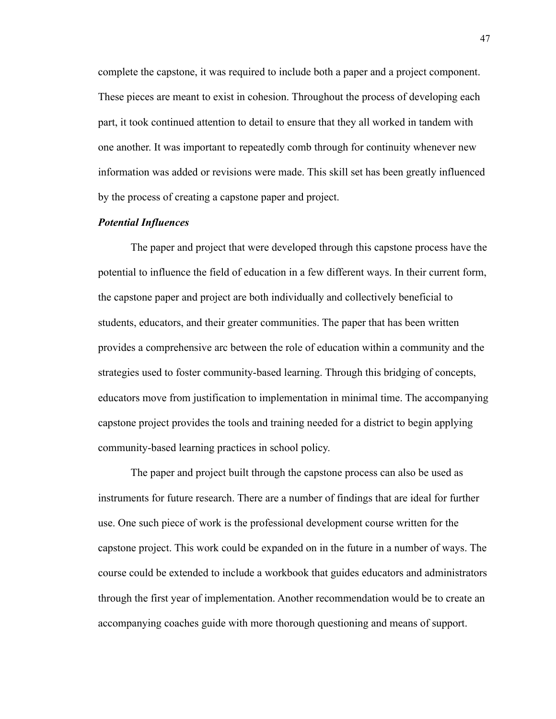complete the capstone, it was required to include both a paper and a project component. These pieces are meant to exist in cohesion. Throughout the process of developing each part, it took continued attention to detail to ensure that they all worked in tandem with one another. It was important to repeatedly comb through for continuity whenever new information was added or revisions were made. This skill set has been greatly influenced by the process of creating a capstone paper and project.

#### *Potential Influences*

The paper and project that were developed through this capstone process have the potential to influence the field of education in a few different ways. In their current form, the capstone paper and project are both individually and collectively beneficial to students, educators, and their greater communities. The paper that has been written provides a comprehensive arc between the role of education within a community and the strategies used to foster community-based learning. Through this bridging of concepts, educators move from justification to implementation in minimal time. The accompanying capstone project provides the tools and training needed for a district to begin applying community-based learning practices in school policy.

The paper and project built through the capstone process can also be used as instruments for future research. There are a number of findings that are ideal for further use. One such piece of work is the professional development course written for the capstone project. This work could be expanded on in the future in a number of ways. The course could be extended to include a workbook that guides educators and administrators through the first year of implementation. Another recommendation would be to create an accompanying coaches guide with more thorough questioning and means of support.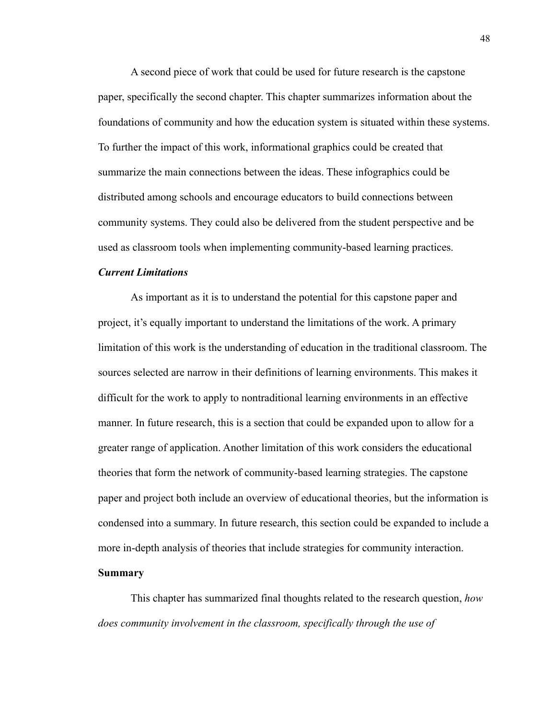A second piece of work that could be used for future research is the capstone paper, specifically the second chapter. This chapter summarizes information about the foundations of community and how the education system is situated within these systems. To further the impact of this work, informational graphics could be created that summarize the main connections between the ideas. These infographics could be distributed among schools and encourage educators to build connections between community systems. They could also be delivered from the student perspective and be used as classroom tools when implementing community-based learning practices.

#### *Current Limitations*

As important as it is to understand the potential for this capstone paper and project, it's equally important to understand the limitations of the work. A primary limitation of this work is the understanding of education in the traditional classroom. The sources selected are narrow in their definitions of learning environments. This makes it difficult for the work to apply to nontraditional learning environments in an effective manner. In future research, this is a section that could be expanded upon to allow for a greater range of application. Another limitation of this work considers the educational theories that form the network of community-based learning strategies. The capstone paper and project both include an overview of educational theories, but the information is condensed into a summary. In future research, this section could be expanded to include a more in-depth analysis of theories that include strategies for community interaction.

#### **Summary**

This chapter has summarized final thoughts related to the research question, *how does community involvement in the classroom, specifically through the use of*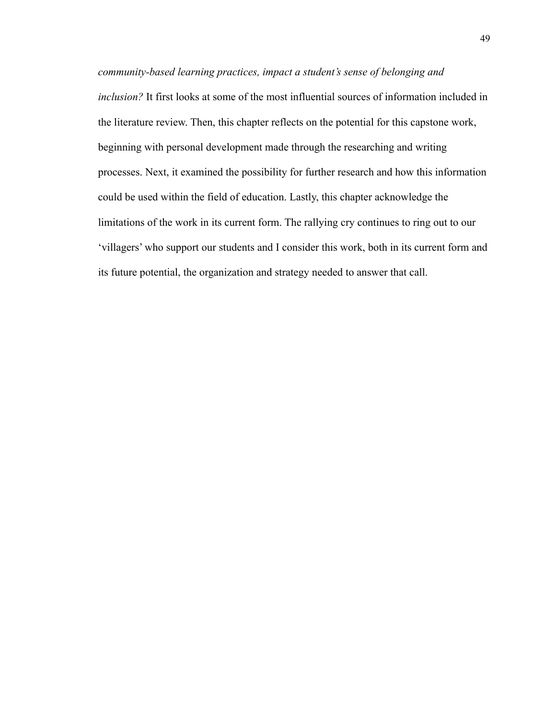*community-based learning practices, impact a student's sense of belonging and inclusion?* It first looks at some of the most influential sources of information included in the literature review. Then, this chapter reflects on the potential for this capstone work, beginning with personal development made through the researching and writing processes. Next, it examined the possibility for further research and how this information could be used within the field of education. Lastly, this chapter acknowledge the limitations of the work in its current form. The rallying cry continues to ring out to our 'villagers' who support our students and I consider this work, both in its current form and its future potential, the organization and strategy needed to answer that call.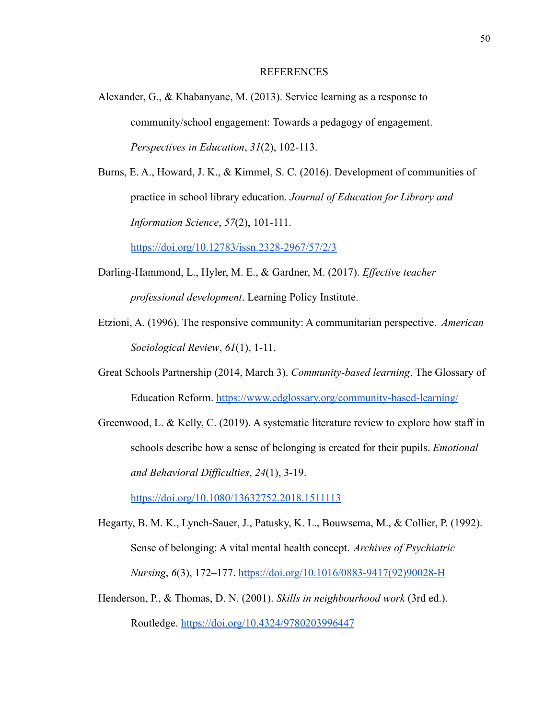#### REFERENCES

- Alexander, G., & Khabanyane, M. (2013). Service learning as a response to community/school engagement: Towards a pedagogy of engagement. *Perspectives in Education*, *31*(2), 102-113.
- Burns, E. A., Howard, J. K., & Kimmel, S. C. (2016). Development of communities of practice in school library education. *Journal of Education for Library and Information Science*, *57*(2), 101-111.

<https://doi.org/10.12783/issn.2328-2967/57/2/3>

- Darling-Hammond, L., Hyler, M. E., & Gardner, M. (2017). *Effective teacher professional development*. Learning Policy Institute.
- Etzioni, A. (1996). The responsive community: A communitarian perspective. *American Sociological Review*, *61*(1), 1-11.
- Great Schools Partnership (2014, March 3). *Community-based learning*. The Glossary of Education Reform. <https://www.edglossary.org/community-based-learning/>
- Greenwood, L. & Kelly, C. (2019). A systematic literature review to explore how staff in schools describe how a sense of belonging is created for their pupils. *Emotional and Behavioral Difficulties*, *24*(1), 3-19.

<https://doi.org/10.1080/13632752.2018.1511113>

- Hegarty, B. M. K., Lynch-Sauer, J., Patusky, K. L., Bouwsema, M., & Collier, P. (1992). Sense of belonging: A vital mental health concept. *Archives of Psychiatric Nursing*, *6*(3), 172–177. [https://doi.org/10.1016/0883-9417\(92\)90028-H](https://doi.org/10.1016/0883-9417(92)90028-H)
- Henderson, P., & Thomas, D. N. (2001). *Skills in neighbourhood work* (3rd ed.). Routledge. <https://doi.org/10.4324/9780203996447>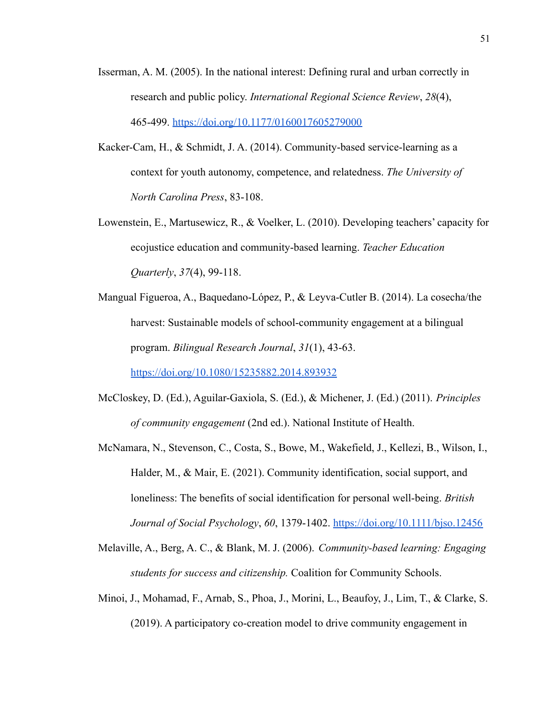- Isserman, A. M. (2005). In the national interest: Defining rural and urban correctly in research and public policy. *International Regional Science Review*, *28*(4), 465-499. <https://doi.org/10.1177/0160017605279000>
- Kacker-Cam, H., & Schmidt, J. A. (2014). Community-based service-learning as a context for youth autonomy, competence, and relatedness. *The University of North Carolina Press*, 83-108.
- Lowenstein, E., Martusewicz, R., & Voelker, L. (2010). Developing teachers' capacity for ecojustice education and community-based learning. *Teacher Education Quarterly*, *37*(4), 99-118.
- Mangual Figueroa, A., Baquedano-López, P., & Leyva-Cutler B. (2014). La cosecha/the harvest: Sustainable models of school-community engagement at a bilingual program. *Bilingual Research Journal*, *31*(1), 43-63.

<https://doi.org/10.1080/15235882.2014.893932>

- McCloskey, D. (Ed.), Aguilar-Gaxiola, S. (Ed.), & Michener, J. (Ed.) (2011). *Principles of community engagement* (2nd ed.). National Institute of Health.
- McNamara, N., Stevenson, C., Costa, S., Bowe, M., Wakefield, J., Kellezi, B., Wilson, I., Halder, M., & Mair, E. (2021). Community identification, social support, and loneliness: The benefits of social identification for personal well-being. *British Journal of Social Psychology*, *60*, 1379-1402. <https://doi.org/10.1111/bjso.12456>
- Melaville, A., Berg, A. C., & Blank, M. J. (2006). *Community-based learning: Engaging students for success and citizenship.* Coalition for Community Schools.
- Minoi, J., Mohamad, F., Arnab, S., Phoa, J., Morini, L., Beaufoy, J., Lim, T., & Clarke, S. (2019). A participatory co-creation model to drive community engagement in